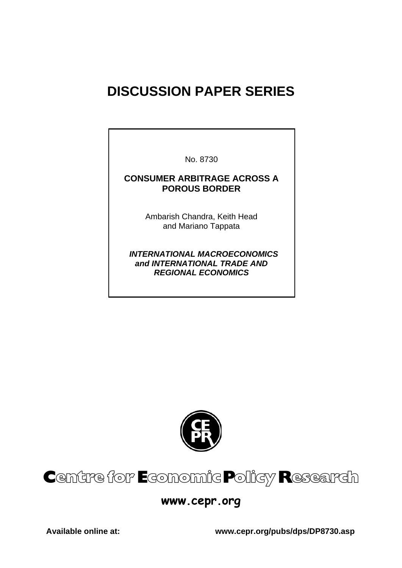# **DISCUSSION PAPER SERIES**

No. 8730

#### **CONSUMER ARBITRAGE ACROSS A POROUS BORDER**

Ambarish Chandra, Keith Head and Mariano Tappata

 *INTERNATIONAL MACROECONOMICS and INTERNATIONAL TRADE AND REGIONAL ECONOMICS* 



# Centre for Economic Policy Research

## **www.cepr.org**

**Available online at: www.cepr.org/pubs/dps/DP8730.asp**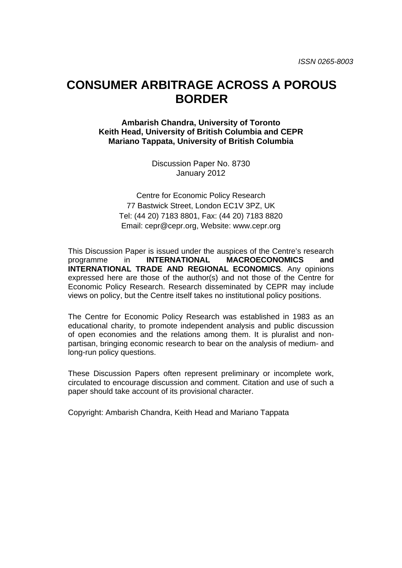## **CONSUMER ARBITRAGE ACROSS A POROUS BORDER**

**Ambarish Chandra, University of Toronto Keith Head, University of British Columbia and CEPR Mariano Tappata, University of British Columbia** 

> Discussion Paper No. 8730 January 2012

Centre for Economic Policy Research 77 Bastwick Street, London EC1V 3PZ, UK Tel: (44 20) 7183 8801, Fax: (44 20) 7183 8820 Email: cepr@cepr.org, Website: www.cepr.org

This Discussion Paper is issued under the auspices of the Centre's research programme in **INTERNATIONAL MACROECONOMICS and INTERNATIONAL TRADE AND REGIONAL ECONOMICS**. Any opinions expressed here are those of the author(s) and not those of the Centre for Economic Policy Research. Research disseminated by CEPR may include views on policy, but the Centre itself takes no institutional policy positions.

The Centre for Economic Policy Research was established in 1983 as an educational charity, to promote independent analysis and public discussion of open economies and the relations among them. It is pluralist and nonpartisan, bringing economic research to bear on the analysis of medium- and long-run policy questions.

These Discussion Papers often represent preliminary or incomplete work, circulated to encourage discussion and comment. Citation and use of such a paper should take account of its provisional character.

Copyright: Ambarish Chandra, Keith Head and Mariano Tappata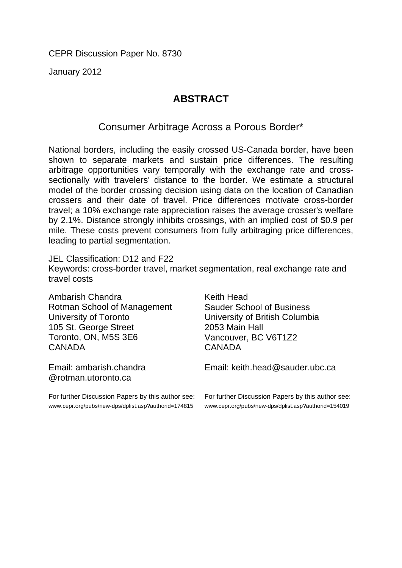CEPR Discussion Paper No. 8730

January 2012

## **ABSTRACT**

## Consumer Arbitrage Across a Porous Border\*

National borders, including the easily crossed US-Canada border, have been shown to separate markets and sustain price differences. The resulting arbitrage opportunities vary temporally with the exchange rate and crosssectionally with travelers' distance to the border. We estimate a structural model of the border crossing decision using data on the location of Canadian crossers and their date of travel. Price differences motivate cross-border travel; a 10% exchange rate appreciation raises the average crosser's welfare by 2.1%. Distance strongly inhibits crossings, with an implied cost of \$0.9 per mile. These costs prevent consumers from fully arbitraging price differences, leading to partial segmentation.

JEL Classification: D12 and F22 Keywords: cross-border travel, market segmentation, real exchange rate and travel costs

Ambarish Chandra Rotman School of Management University of Toronto 105 St. George Street Toronto, ON, M5S 3E6 CANADA

Email: ambarish.chandra @rotman.utoronto.ca

For further Discussion Papers by this author see: www.cepr.org/pubs/new-dps/dplist.asp?authorid=174815

Keith Head Sauder School of Business University of British Columbia 2053 Main Hall Vancouver, BC V6T1Z2 CANADA

Email: keith.head@sauder.ubc.ca

For further Discussion Papers by this author see: www.cepr.org/pubs/new-dps/dplist.asp?authorid=154019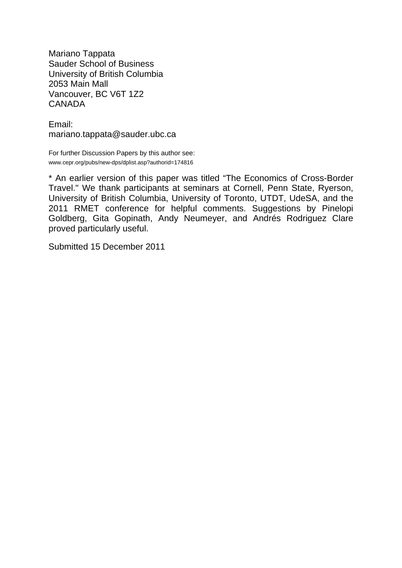Mariano Tappata Sauder School of Business University of British Columbia 2053 Main Mall Vancouver, BC V6T 1Z2 CANADA

Email: mariano.tappata@sauder.ubc.ca

For further Discussion Papers by this author see: www.cepr.org/pubs/new-dps/dplist.asp?authorid=174816

\* An earlier version of this paper was titled "The Economics of Cross-Border Travel." We thank participants at seminars at Cornell, Penn State, Ryerson, University of British Columbia, University of Toronto, UTDT, UdeSA, and the 2011 RMET conference for helpful comments. Suggestions by Pinelopi Goldberg, Gita Gopinath, Andy Neumeyer, and Andrés Rodriguez Clare proved particularly useful.

Submitted 15 December 2011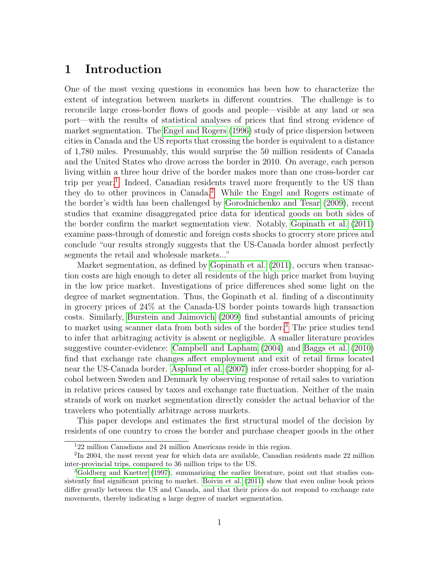## 1 Introduction

One of the most vexing questions in economics has been how to characterize the extent of integration between markets in different countries. The challenge is to reconcile large cross-border flows of goods and people—visible at any land or sea port—with the results of statistical analyses of prices that find strong evidence of market segmentation. The Engel and Rogers (1996) study of price dispersion between cities in Canada and the US reports that crossing the border is equivalent to a distance of 1,780 miles. Presumably, this would surprise the 50 million residents of Canada and the United States who drove across the border in 2010. On average, each person living within a three hour drive of the border makes more than one cross-border car trip per year.<sup>1</sup> Indeed, Canadian residents travel more frequently to the US than they do to other provinces in Canada.2 While the Engel and Rogers estimate of the border's width has been challenged by Gorodnichenko and Tesar (2009), recent studies that examine disaggregated price data for identical goods on both sides of the border confirm the market segmentation view. Notably, Gopinath et al. (2011) examine pass-through of domestic and foreign costs shocks to grocery store prices and conclude "our results strongly suggests that the US-Canada border almost perfectly segments the retail and wholesale markets..."

Market segmentation, as defined by Gopinath et al. (2011), occurs when transaction costs are high enough to deter all residents of the high price market from buying in the low price market. Investigations of price differences shed some light on the degree of market segmentation. Thus, the Gopinath et al. finding of a discontinuity in grocery prices of 24% at the Canada-US border points towards high transaction costs. Similarly, Burstein and Jaimovich (2009) find substantial amounts of pricing to market using scanner data from both sides of the border.<sup>3</sup> The price studies tend to infer that arbitraging activity is absent or negligible. A smaller literature provides suggestive counter-evidence: Campbell and Lapham (2004) and Baggs et al. (2010) find that exchange rate changes affect employment and exit of retail firms located near the US-Canada border. Asplund et al. (2007) infer cross-border shopping for alcohol between Sweden and Denmark by observing response of retail sales to variation in relative prices caused by taxes and exchange rate fluctuation. Neither of the main strands of work on market segmentation directly consider the actual behavior of the travelers who potentially arbitrage across markets.

This paper develops and estimates the first structural model of the decision by residents of one country to cross the border and purchase cheaper goods in the other

<sup>1</sup>22 million Canadians and 24 million Americans reside in this region.

<sup>&</sup>lt;sup>2</sup>In 2004, the most recent year for which data are available, Canadian residents made 22 million inter-provincial trips, compared to 36 million trips to the US.

<sup>&</sup>lt;sup>3</sup>Goldberg and Knetter (1997), summarizing the earlier literature, point out that studies consistently find significant pricing to market. Boivin et al. (2011) show that even online book prices differ greatly between the US and Canada, and that their prices do not respond to exchange rate movements, thereby indicating a large degree of market segmentation.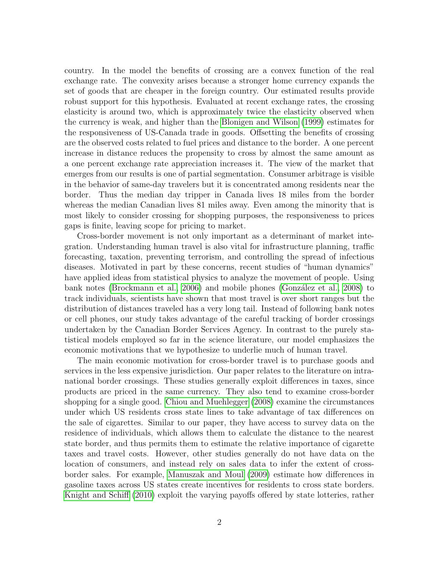country. In the model the benefits of crossing are a convex function of the real exchange rate. The convexity arises because a stronger home currency expands the set of goods that are cheaper in the foreign country. Our estimated results provide robust support for this hypothesis. Evaluated at recent exchange rates, the crossing elasticity is around two, which is approximately twice the elasticity observed when the currency is weak, and higher than the Blonigen and Wilson (1999) estimates for the responsiveness of US-Canada trade in goods. Offsetting the benefits of crossing are the observed costs related to fuel prices and distance to the border. A one percent increase in distance reduces the propensity to cross by almost the same amount as a one percent exchange rate appreciation increases it. The view of the market that emerges from our results is one of partial segmentation. Consumer arbitrage is visible in the behavior of same-day travelers but it is concentrated among residents near the border. Thus the median day tripper in Canada lives 18 miles from the border whereas the median Canadian lives 81 miles away. Even among the minority that is most likely to consider crossing for shopping purposes, the responsiveness to prices gaps is finite, leaving scope for pricing to market.

Cross-border movement is not only important as a determinant of market integration. Understanding human travel is also vital for infrastructure planning, traffic forecasting, taxation, preventing terrorism, and controlling the spread of infectious diseases. Motivated in part by these concerns, recent studies of "human dynamics" have applied ideas from statistical physics to analyze the movement of people. Using bank notes (Brockmann et al., 2006) and mobile phones (González et al., 2008) to track individuals, scientists have shown that most travel is over short ranges but the distribution of distances traveled has a very long tail. Instead of following bank notes or cell phones, our study takes advantage of the careful tracking of border crossings undertaken by the Canadian Border Services Agency. In contrast to the purely statistical models employed so far in the science literature, our model emphasizes the economic motivations that we hypothesize to underlie much of human travel.

The main economic motivation for cross-border travel is to purchase goods and services in the less expensive jurisdiction. Our paper relates to the literature on intranational border crossings. These studies generally exploit differences in taxes, since products are priced in the same currency. They also tend to examine cross-border shopping for a single good. Chiou and Muehlegger (2008) examine the circumstances under which US residents cross state lines to take advantage of tax differences on the sale of cigarettes. Similar to our paper, they have access to survey data on the residence of individuals, which allows them to calculate the distance to the nearest state border, and thus permits them to estimate the relative importance of cigarette taxes and travel costs. However, other studies generally do not have data on the location of consumers, and instead rely on sales data to infer the extent of crossborder sales. For example, Manuszak and Moul (2009) estimate how differences in gasoline taxes across US states create incentives for residents to cross state borders. Knight and Schiff (2010) exploit the varying payoffs offered by state lotteries, rather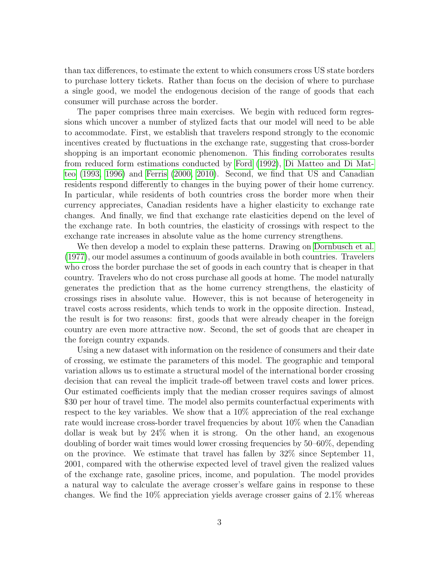than tax differences, to estimate the extent to which consumers cross US state borders to purchase lottery tickets. Rather than focus on the decision of where to purchase a single good, we model the endogenous decision of the range of goods that each consumer will purchase across the border.

The paper comprises three main exercises. We begin with reduced form regressions which uncover a number of stylized facts that our model will need to be able to accommodate. First, we establish that travelers respond strongly to the economic incentives created by fluctuations in the exchange rate, suggesting that cross-border shopping is an important economic phenomenon. This finding corroborates results from reduced form estimations conducted by Ford (1992), Di Matteo and Di Matteo (1993, 1996) and Ferris (2000, 2010). Second, we find that US and Canadian residents respond differently to changes in the buying power of their home currency. In particular, while residents of both countries cross the border more when their currency appreciates, Canadian residents have a higher elasticity to exchange rate changes. And finally, we find that exchange rate elasticities depend on the level of the exchange rate. In both countries, the elasticity of crossings with respect to the exchange rate increases in absolute value as the home currency strengthens.

We then develop a model to explain these patterns. Drawing on Dornbusch et al. (1977), our model assumes a continuum of goods available in both countries. Travelers who cross the border purchase the set of goods in each country that is cheaper in that country. Travelers who do not cross purchase all goods at home. The model naturally generates the prediction that as the home currency strengthens, the elasticity of crossings rises in absolute value. However, this is not because of heterogeneity in travel costs across residents, which tends to work in the opposite direction. Instead, the result is for two reasons: first, goods that were already cheaper in the foreign country are even more attractive now. Second, the set of goods that are cheaper in the foreign country expands.

Using a new dataset with information on the residence of consumers and their date of crossing, we estimate the parameters of this model. The geographic and temporal variation allows us to estimate a structural model of the international border crossing decision that can reveal the implicit trade-off between travel costs and lower prices. Our estimated coefficients imply that the median crosser requires savings of almost \$30 per hour of travel time. The model also permits counterfactual experiments with respect to the key variables. We show that a 10% appreciation of the real exchange rate would increase cross-border travel frequencies by about 10% when the Canadian dollar is weak but by 24% when it is strong. On the other hand, an exogenous doubling of border wait times would lower crossing frequencies by 50–60%, depending on the province. We estimate that travel has fallen by 32% since September 11, 2001, compared with the otherwise expected level of travel given the realized values of the exchange rate, gasoline prices, income, and population. The model provides a natural way to calculate the average crosser's welfare gains in response to these changes. We find the 10% appreciation yields average crosser gains of 2.1% whereas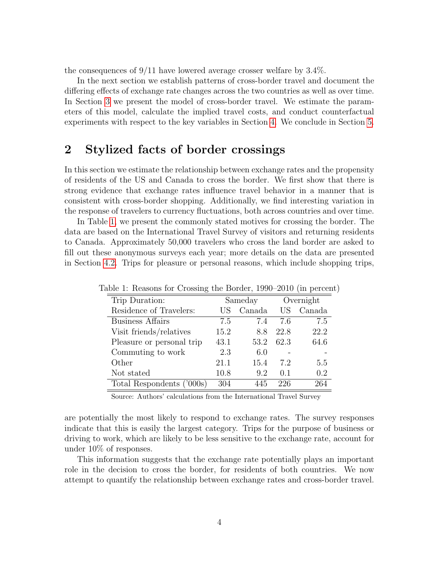the consequences of  $9/11$  have lowered average crosser welfare by  $3.4\%$ .

In the next section we establish patterns of cross-border travel and document the differing effects of exchange rate changes across the two countries as well as over time. In Section 3 we present the model of cross-border travel. We estimate the parameters of this model, calculate the implied travel costs, and conduct counterfactual experiments with respect to the key variables in Section 4. We conclude in Section 5.

## 2 Stylized facts of border crossings

In this section we estimate the relationship between exchange rates and the propensity of residents of the US and Canada to cross the border. We first show that there is strong evidence that exchange rates influence travel behavior in a manner that is consistent with cross-border shopping. Additionally, we find interesting variation in the response of travelers to currency fluctuations, both across countries and over time.

In Table 1, we present the commonly stated motives for crossing the border. The data are based on the International Travel Survey of visitors and returning residents to Canada. Approximately 50,000 travelers who cross the land border are asked to fill out these anonymous surveys each year; more details on the data are presented in Section 4.2. Trips for pleasure or personal reasons, which include shopping trips,

|                           |         |        |      | $\frac{1}{2}$ |
|---------------------------|---------|--------|------|---------------|
| Trip Duration:            | Sameday |        |      | Overnight     |
| Residence of Travelers:   | US      | Canada | US   | Canada        |
| <b>Business Affairs</b>   | 7.5     | 7.4    | 7.6  | 7.5           |
| Visit friends/relatives   | 15.2    | 8.8    | 22.8 | 22.2          |
| Pleasure or personal trip | 43.1    | 53.2   | 62.3 | 64.6          |
| Commuting to work         | 2.3     | 6.0    |      |               |
| Other                     | 21.1    | 15.4   | 7.2  | 5.5           |
| Not stated                | 10.8    | 9.2    | 0.1  | 0.2           |
| Total Respondents ('000s) | 304     | 445    | 226  | 264           |

Table 1: Reasons for Crossing the Border, 1990–2010 (in percent)

Source: Authors' calculations from the International Travel Survey

are potentially the most likely to respond to exchange rates. The survey responses indicate that this is easily the largest category. Trips for the purpose of business or driving to work, which are likely to be less sensitive to the exchange rate, account for under 10% of responses.

This information suggests that the exchange rate potentially plays an important role in the decision to cross the border, for residents of both countries. We now attempt to quantify the relationship between exchange rates and cross-border travel.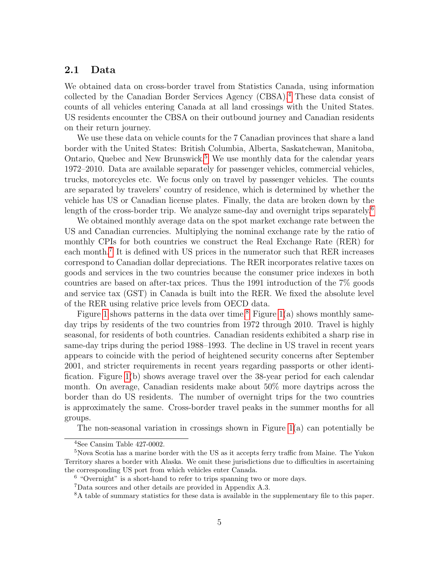#### 2.1 Data

We obtained data on cross-border travel from Statistics Canada, using information collected by the Canadian Border Services Agency (CBSA).4 These data consist of counts of all vehicles entering Canada at all land crossings with the United States. US residents encounter the CBSA on their outbound journey and Canadian residents on their return journey.

We use these data on vehicle counts for the 7 Canadian provinces that share a land border with the United States: British Columbia, Alberta, Saskatchewan, Manitoba, Ontario, Quebec and New Brunswick.<sup>5</sup> We use monthly data for the calendar years 1972–2010. Data are available separately for passenger vehicles, commercial vehicles, trucks, motorcycles etc. We focus only on travel by passenger vehicles. The counts are separated by travelers' country of residence, which is determined by whether the vehicle has US or Canadian license plates. Finally, the data are broken down by the length of the cross-border trip. We analyze same-day and overnight trips separately.<sup>6</sup>

We obtained monthly average data on the spot market exchange rate between the US and Canadian currencies. Multiplying the nominal exchange rate by the ratio of monthly CPIs for both countries we construct the Real Exchange Rate (RER) for each month.<sup>7</sup> It is defined with US prices in the numerator such that RER increases correspond to Canadian dollar depreciations. The RER incorporates relative taxes on goods and services in the two countries because the consumer price indexes in both countries are based on after-tax prices. Thus the 1991 introduction of the 7% goods and service tax (GST) in Canada is built into the RER. We fixed the absolute level of the RER using relative price levels from OECD data.

Figure 1 shows patterns in the data over time.<sup>8</sup> Figure 1(a) shows monthly sameday trips by residents of the two countries from 1972 through 2010. Travel is highly seasonal, for residents of both countries. Canadian residents exhibited a sharp rise in same-day trips during the period 1988–1993. The decline in US travel in recent years appears to coincide with the period of heightened security concerns after September 2001, and stricter requirements in recent years regarding passports or other identification. Figure 1(b) shows average travel over the 38-year period for each calendar month. On average, Canadian residents make about 50% more daytrips across the border than do US residents. The number of overnight trips for the two countries is approximately the same. Cross-border travel peaks in the summer months for all groups.

The non-seasonal variation in crossings shown in Figure  $1(a)$  can potentially be

<sup>4</sup>See Cansim Table 427-0002.

<sup>&</sup>lt;sup>5</sup>Nova Scotia has a marine border with the US as it accepts ferry traffic from Maine. The Yukon Territory shares a border with Alaska. We omit these jurisdictions due to difficulties in ascertaining the corresponding US port from which vehicles enter Canada.

 $6$  "Overnight" is a short-hand to refer to trips spanning two or more days.

<sup>7</sup>Data sources and other details are provided in Appendix A.3.

<sup>8</sup>A table of summary statistics for these data is available in the supplementary file to this paper.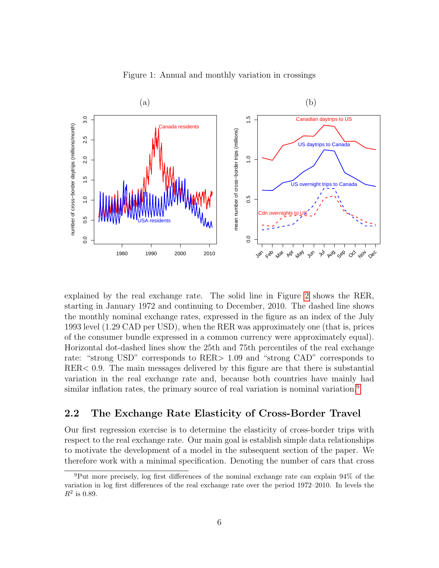

Figure 1: Annual and monthly variation in crossings

explained by the real exchange rate. The solid line in Figure 2 shows the RER, starting in January 1972 and continuing to December, 2010. The dashed line shows the monthly nominal exchange rates, expressed in the figure as an index of the July 1993 level (1.29 CAD per USD), when the RER was approximately one (that is, prices of the consumer bundle expressed in a common currency were approximately equal). Horizontal dot-dashed lines show the 25th and 75th percentiles of the real exchange rate: "strong USD" corresponds to RER> 1.09 and "strong CAD" corresponds to RER< 0.9. The main messages delivered by this figure are that there is substantial variation in the real exchange rate and, because both countries have mainly had similar inflation rates, the primary source of real variation is nominal variation.<sup>9</sup>

#### 2.2 The Exchange Rate Elasticity of Cross-Border Travel

Our first regression exercise is to determine the elasticity of cross-border trips with respect to the real exchange rate. Our main goal is establish simple data relationships to motivate the development of a model in the subsequent section of the paper. We therefore work with a minimal specification. Denoting the number of cars that cross

<sup>9</sup>Put more precisely, log first differences of the nominal exchange rate can explain 94% of the variation in log first differences of the real exchange rate over the period 1972–2010. In levels the  $R^2$  is 0.89.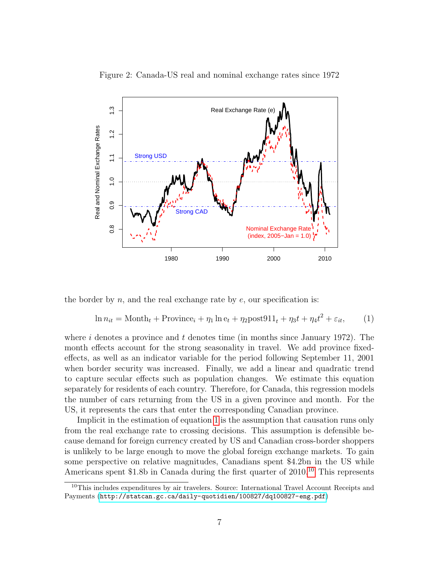

Figure 2: Canada-US real and nominal exchange rates since 1972

the border by  $n$ , and the real exchange rate by  $e$ , our specification is:

$$
\ln n_{it} = \text{Month}_t + \text{Province}_i + \eta_1 \ln e_t + \eta_2 \text{post911}_t + \eta_3 t + \eta_4 t^2 + \varepsilon_{it},\tag{1}
$$

where i denotes a province and t denotes time (in months since January 1972). The month effects account for the strong seasonality in travel. We add province fixedeffects, as well as an indicator variable for the period following September 11, 2001 when border security was increased. Finally, we add a linear and quadratic trend to capture secular effects such as population changes. We estimate this equation separately for residents of each country. Therefore, for Canada, this regression models the number of cars returning from the US in a given province and month. For the US, it represents the cars that enter the corresponding Canadian province.

Implicit in the estimation of equation 1 is the assumption that causation runs only from the real exchange rate to crossing decisions. This assumption is defensible because demand for foreign currency created by US and Canadian cross-border shoppers is unlikely to be large enough to move the global foreign exchange markets. To gain some perspective on relative magnitudes, Canadians spent \$4.2bn in the US while Americans spent \$1.8b in Canada during the first quarter of 2010.<sup>10</sup> This represents

<sup>&</sup>lt;sup>10</sup>This includes expenditures by air travelers. Source: International Travel Account Receipts and Payments (<http://statcan.gc.ca/daily-quotidien/100827/dq100827-eng.pdf>)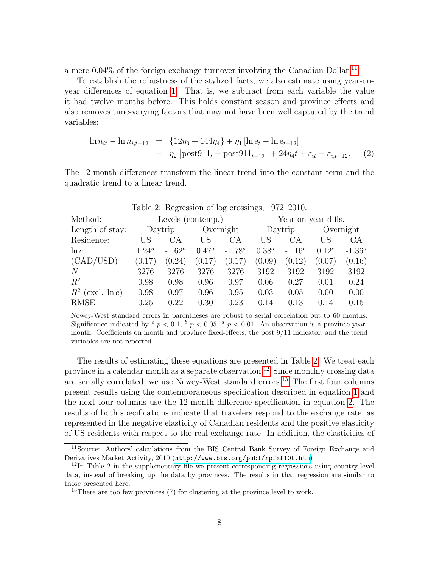a mere  $0.04\%$  of the foreign exchange turnover involving the Canadian Dollar.<sup>11</sup>

To establish the robustness of the stylized facts, we also estimate using year-onyear differences of equation 1. That is, we subtract from each variable the value it had twelve months before. This holds constant season and province effects and also removes time-varying factors that may not have been well captured by the trend variables:

$$
\ln n_{it} - \ln n_{i,t-12} = \{12\eta_3 + 144\eta_4\} + \eta_1 [\ln e_t - \ln e_{t-12}] + \eta_2 [\text{post911}_t - \text{post911}_{t-12}] + 24\eta_4 t + \varepsilon_{it} - \varepsilon_{i,t-12}.
$$
 (2)

The 12-month differences transform the linear trend into the constant term and the quadratic trend to a linear trend.

| Table 2. Tregional of tog crossings, 1912 2010. |                   |           |          |           |                     |           |            |           |
|-------------------------------------------------|-------------------|-----------|----------|-----------|---------------------|-----------|------------|-----------|
| Method:                                         | Levels (contemp.) |           |          |           | Year-on-year diffs. |           |            |           |
| Length of stay:                                 |                   | Daytrip   |          | Overnight | Daytrip             |           | Overnight  |           |
| Residence:                                      | US                | СA        | US       | СA        | US                  | СA        | US         | CA        |
| $\ln e$                                         | $1.24^a$          | $-1.62^a$ | $0.47^a$ | $-1.78^a$ | $0.38^{a}$          | $-1.16^a$ | $0.12^{c}$ | $-1.36^a$ |
| (CAD/USD)                                       | (0.17)            | (0.24)    | (0.17)   | (0.17)    | (0.09)              | (0.12)    | (0.07)     | (0.16)    |
| N                                               | 3276              | 3276      | 3276     | 3276      | 3192                | 3192      | 3192       | 3192      |
| $R^2$                                           | 0.98              | 0.98      | 0.96     | 0.97      | 0.06                | 0.27      | 0.01       | 0.24      |
| $R^2$ (excl. ln e)                              | 0.98              | 0.97      | 0.96     | 0.95      | 0.03                | 0.05      | 0.00       | 0.00      |
| <b>RMSE</b>                                     | 0.25              | 0.22      | 0.30     | 0.23      | 0.14                | 0.13      | 0.14       | 0.15      |

Table 2: Regression of log crossings, 1972–2010.

Newey-West standard errors in parentheses are robust to serial correlation out to 60 months. Significance indicated by  $c$   $p < 0.1$ ,  $b$   $p < 0.05$ ,  $a$   $p < 0.01$ . An observation is a province-yearmonth. Coefficients on month and province fixed-effects, the post 9/11 indicator, and the trend variables are not reported.

The results of estimating these equations are presented in Table 2. We treat each province in a calendar month as a separate observation.<sup>12</sup> Since monthly crossing data are serially correlated, we use Newey-West standard errors.<sup>13</sup> The first four columns present results using the contemporaneous specification described in equation 1 and the next four columns use the 12-month difference specification in equation 2. The results of both specifications indicate that travelers respond to the exchange rate, as represented in the negative elasticity of Canadian residents and the positive elasticity of US residents with respect to the real exchange rate. In addition, the elasticities of

<sup>11</sup>Source: Authors' calculations from the BIS Central Bank Survey of Foreign Exchange and Derivatives Market Activity, 2010 (<http://www.bis.org/publ/rpfxf10t.htm>)

 $12$ In Table 2 in the supplementary file we present corresponding regressions using country-level data, instead of breaking up the data by provinces. The results in that regression are similar to those presented here.

<sup>&</sup>lt;sup>13</sup>There are too few provinces  $(7)$  for clustering at the province level to work.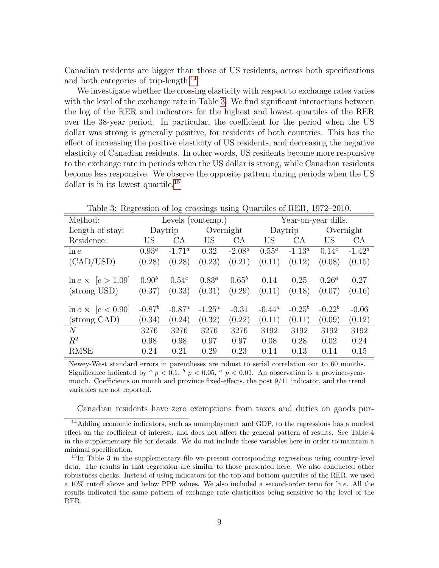Canadian residents are bigger than those of US residents, across both specifications and both categories of trip-length.14

We investigate whether the crossing elasticity with respect to exchange rates varies with the level of the exchange rate in Table 3. We find significant interactions between the log of the RER and indicators for the highest and lowest quartiles of the RER over the 38-year period. In particular, the coefficient for the period when the US dollar was strong is generally positive, for residents of both countries. This has the effect of increasing the positive elasticity of US residents, and decreasing the negative elasticity of Canadian residents. In other words, US residents become more responsive to the exchange rate in periods when the US dollar is strong, while Canadian residents become less responsive. We observe the opposite pattern during periods when the US dollar is in its lowest quartile.<sup>15</sup>

| Method:                                   | Levels (contemp.)    |                      |                    |                      | Year-on-year diffs. |                |                    |                 |
|-------------------------------------------|----------------------|----------------------|--------------------|----------------------|---------------------|----------------|--------------------|-----------------|
| Length of stay:                           |                      | Daytrip              | Overnight          |                      |                     | Daytrip        |                    | Overnight       |
| Residence:                                | US                   | CA                   | US <sub></sub>     | CA                   | US                  | CA.            | US                 | <b>CA</b>       |
| $\ln e$                                   | $0.93^a$             | $-1.71^{\circ}$      | 0.32               | $-2.08^a$            | $0.55^a$            | $-1.13^a$      | $0.14^{c}$         | $-1.42^{\rm a}$ |
| (CAD/USD)                                 | (0.28)               | (0.28)               | (0.23)             | (0.21)               | (0.11)              | (0.12)         | (0.08)             | (0.15)          |
| $\ln e \times [e > 1.09]$<br>(strong USD) | $0.90^{b}$<br>(0.37) | $0.54^{c}$<br>(0.33) | $0.83^a$<br>(0.31) | $0.65^{b}$<br>(0.29) | 0.14<br>(0.11)      | 0.25<br>(0.18) | $0.26^a$<br>(0.07) | 0.27<br>(0.16)  |
| $\ln e \times  e < 0.90 $                 | $-0.87^{b}$          | $-0.87^a$            | $-1.25^a$          | $-0.31$              | $-0.44^a$           | $-0.25^{b}$    | $-0.22^b$          | $-0.06$         |
| (strong CAD)                              | (0.34)               | (0.24)               | (0.32)             | (0.22)               | (0.11)              | (0.11)         | (0.09)             | (0.12)          |
| N                                         | 3276                 | 3276                 | 3276               | 3276                 | 3192                | 3192           | 3192               | 3192            |
| $R^2$                                     | 0.98                 | 0.98                 | 0.97               | 0.97                 | 0.08                | 0.28           | 0.02               | 0.24            |
| <b>RMSE</b>                               | 0.24                 | 0.21                 | 0.29               | 0.23                 | 0.14                | 0.13           | 0.14               | 0.15            |

Table 3: Regression of log crossings using Quartiles of RER, 1972–2010.

Newey-West standard errors in parentheses are robust to serial correlation out to 60 months. Significance indicated by  $c_p < 0.1$ ,  $b_p < 0.05$ ,  $a_p < 0.01$ . An observation is a province-yearmonth. Coefficients on month and province fixed-effects, the post 9/11 indicator, and the trend variables are not reported.

Canadian residents have zero exemptions from taxes and duties on goods pur-

<sup>&</sup>lt;sup>14</sup>Adding economic indicators, such as unemployment and GDP, to the regressions has a modest effect on the coefficient of interest, and does not affect the general pattern of results. See Table 4 in the supplementary file for details. We do not include these variables here in order to maintain a minimal specification.

<sup>&</sup>lt;sup>15</sup>In Table 3 in the supplementary file we present corresponding regressions using country-level data. The results in that regression are similar to those presented here. We also conducted other robustness checks. Instead of using indicators for the top and bottom quartiles of the RER, we used a 10% cutoff above and below PPP values. We also included a second-order term for ln e. All the results indicated the same pattern of exchange rate elasticities being sensitive to the level of the RER.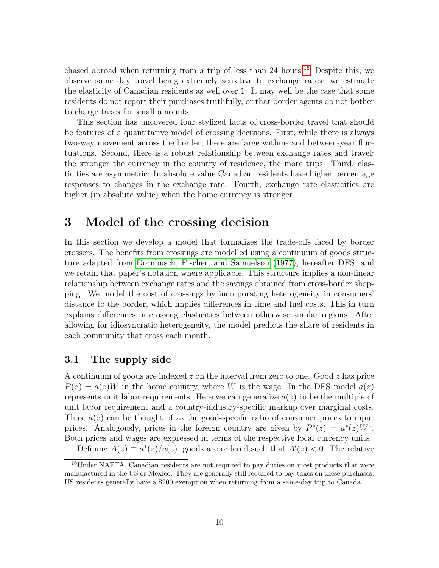chased abroad when returning from a trip of less than 24 hours.<sup>16</sup> Despite this, we observe same day travel being extremely sensitive to exchange rates: we estimate the elasticity of Canadian residents as well over 1. It may well be the case that some residents do not report their purchases truthfully, or that border agents do not bother to charge taxes for small amounts.

This section has uncovered four stylized facts of cross-border travel that should be features of a quantitative model of crossing decisions. First, while there is always two-way movement across the border, there are large within- and between-year fluctuations. Second, there is a robust relationship between exchange rates and travel: the stronger the currency in the country of residence, the more trips. Third, elasticities are asymmetric: In absolute value Canadian residents have higher percentage responses to changes in the exchange rate. Fourth, exchange rate elasticities are higher (in absolute value) when the home currency is stronger.

## 3 Model of the crossing decision

In this section we develop a model that formalizes the trade-offs faced by border crossers. The benefits from crossings are modelled using a continuum of goods structure adapted from Dornbusch, Fischer, and Samuelson (1977), hereafter DFS, and we retain that paper's notation where applicable. This structure implies a non-linear relationship between exchange rates and the savings obtained from cross-border shopping. We model the cost of crossings by incorporating heterogeneity in consumers' distance to the border, which implies differences in time and fuel costs. This in turn explains differences in crossing elasticities between otherwise similar regions. After allowing for idiosyncratic heterogeneity, the model predicts the share of residents in each community that cross each month.

#### 3.1 The supply side

A continuum of goods are indexed  $z$  on the interval from zero to one. Good  $z$  has price  $P(z) = a(z)W$  in the home country, where W is the wage. In the DFS model  $a(z)$ represents unit labor requirements. Here we can generalize  $a(z)$  to be the multiple of unit labor requirement and a country-industry-specific markup over marginal costs. Thus,  $a(z)$  can be thought of as the good-specific ratio of consumer prices to input prices. Analogously, prices in the foreign country are given by  $P^*(z) = a^*(z)W^*$ . Both prices and wages are expressed in terms of the respective local currency units.

Defining  $A(z) \equiv a^*(z)/a(z)$ , goods are ordered such that  $A'(z) < 0$ . The relative

<sup>16</sup>Under NAFTA, Canadian residents are not required to pay duties on most products that were manufactured in the US or Mexico. They are generally still required to pay taxes on these purchases. US residents generally have a \$200 exemption when returning from a same-day trip to Canada.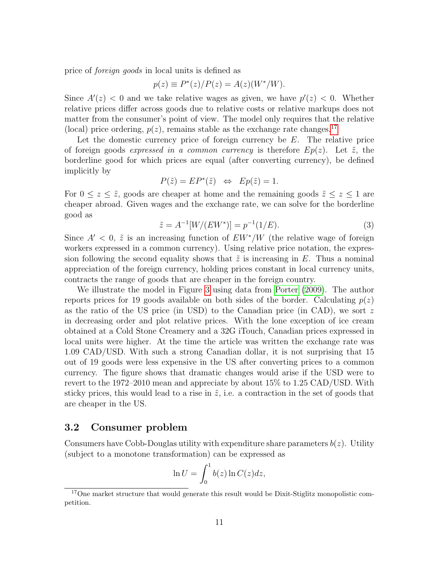price of foreign goods in local units is defined as

$$
p(z) \equiv P^*(z)/P(z) = A(z)(W^*/W).
$$

Since  $A'(z) < 0$  and we take relative wages as given, we have  $p'(z) < 0$ . Whether relative prices differ across goods due to relative costs or relative markups does not matter from the consumer's point of view. The model only requires that the relative (local) price ordering,  $p(z)$ , remains stable as the exchange rate changes.<sup>17</sup>

Let the domestic currency price of foreign currency be  $E$ . The relative price of foreign goods expressed in a common currency is therefore  $Ep(z)$ . Let  $\tilde{z}$ , the borderline good for which prices are equal (after converting currency), be defined implicitly by

$$
P(\tilde{z}) = EP^*(\tilde{z}) \Leftrightarrow Ep(\tilde{z}) = 1.
$$

For  $0 \leq z \leq \tilde{z}$ , goods are cheaper at home and the remaining goods  $\tilde{z} \leq z \leq 1$  are cheaper abroad. Given wages and the exchange rate, we can solve for the borderline good as

$$
\tilde{z} = A^{-1}[W/(EW^*)] = p^{-1}(1/E). \tag{3}
$$

Since  $A' < 0$ ,  $\tilde{z}$  is an increasing function of  $EW^*/W$  (the relative wage of foreign workers expressed in a common currency). Using relative price notation, the expression following the second equality shows that  $\tilde{z}$  is increasing in E. Thus a nominal appreciation of the foreign currency, holding prices constant in local currency units, contracts the range of goods that are cheaper in the foreign country.

We illustrate the model in Figure 3 using data from Porter (2009). The author reports prices for 19 goods available on both sides of the border. Calculating  $p(z)$ as the ratio of the US price (in USD) to the Canadian price (in CAD), we sort  $z$ in decreasing order and plot relative prices. With the lone exception of ice cream obtained at a Cold Stone Creamery and a 32G iTouch, Canadian prices expressed in local units were higher. At the time the article was written the exchange rate was 1.09 CAD/USD. With such a strong Canadian dollar, it is not surprising that 15 out of 19 goods were less expensive in the US after converting prices to a common currency. The figure shows that dramatic changes would arise if the USD were to revert to the 1972–2010 mean and appreciate by about 15% to 1.25 CAD/USD. With sticky prices, this would lead to a rise in  $\tilde{z}$ , i.e. a contraction in the set of goods that are cheaper in the US.

#### 3.2 Consumer problem

Consumers have Cobb-Douglas utility with expenditure share parameters  $b(z)$ . Utility (subject to a monotone transformation) can be expressed as

$$
\ln U = \int_0^1 b(z) \ln C(z) dz,
$$

<sup>&</sup>lt;sup>17</sup>One market structure that would generate this result would be Dixit-Stiglitz monopolistic competition.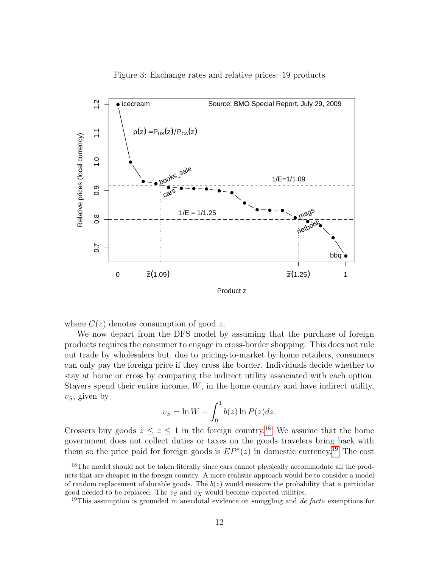

Figure 3: Exchange rates and relative prices: 19 products

where  $C(z)$  denotes consumption of good z.

We now depart from the DFS model by assuming that the purchase of foreign products requires the consumer to engage in cross-border shopping. This does not rule out trade by wholesalers but, due to pricing-to-market by home retailers, consumers can only pay the foreign price if they cross the border. Individuals decide whether to stay at home or cross by comparing the indirect utility associated with each option. Stayers spend their entire income,  $W$ , in the home country and have indirect utility,  $v<sub>S</sub>$ , given by

$$
v_S = \ln W - \int_0^1 b(z) \ln P(z) dz.
$$

Crossers buy goods  $\tilde{z} \leq z \leq 1$  in the foreign country.<sup>18</sup> We assume that the home government does not collect duties or taxes on the goods travelers bring back with them so the price paid for foreign goods is  $EP^*(z)$  in domestic currency.<sup>19</sup> The cost

<sup>&</sup>lt;sup>18</sup>The model should not be taken literally since cars cannot physically accommodate all the products that are cheaper in the foreign country. A more realistic approach would be to consider a model of random replacement of durable goods. The  $b(z)$  would measure the probability that a particular good needed to be replaced. The  $v_S$  and  $v_X$  would become expected utilities.

<sup>&</sup>lt;sup>19</sup>This assumption is grounded in anecdotal evidence on smuggling and *de facto* exemptions for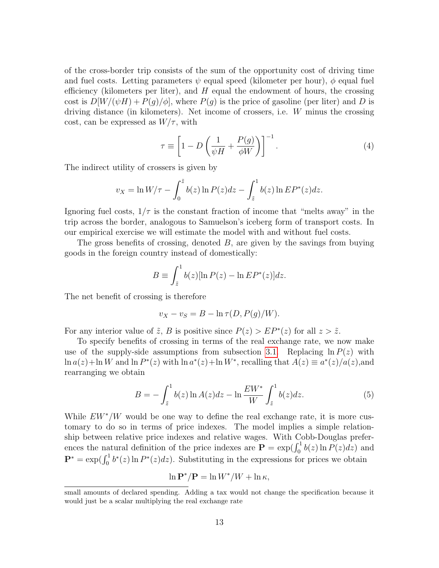of the cross-border trip consists of the sum of the opportunity cost of driving time and fuel costs. Letting parameters  $\psi$  equal speed (kilometer per hour),  $\phi$  equal fuel efficiency (kilometers per liter), and  $H$  equal the endowment of hours, the crossing cost is  $D[W/(\psi H) + P(g)/\phi]$ , where  $P(g)$  is the price of gasoline (per liter) and D is driving distance (in kilometers). Net income of crossers, i.e. W minus the crossing cost, can be expressed as  $W/\tau$ , with

$$
\tau \equiv \left[1 - D\left(\frac{1}{\psi H} + \frac{P(g)}{\phi W}\right)\right]^{-1}.\tag{4}
$$

The indirect utility of crossers is given by

$$
v_X = \ln W/\tau - \int_0^z b(z) \ln P(z) dz - \int_{\tilde{z}}^1 b(z) \ln E P^*(z) dz.
$$

Ignoring fuel costs,  $1/\tau$  is the constant fraction of income that "melts away" in the trip across the border, analogous to Samuelson's iceberg form of transport costs. In our empirical exercise we will estimate the model with and without fuel costs.

The gross benefits of crossing, denoted  $B$ , are given by the savings from buying goods in the foreign country instead of domestically:

$$
B \equiv \int_{\tilde{z}}^1 b(z) [\ln P(z) - \ln E P^*(z)] dz.
$$

The net benefit of crossing is therefore

$$
v_X - v_S = B - \ln \tau(D, P(g)/W).
$$

For any interior value of  $\tilde{z}$ , B is positive since  $P(z) > EP^*(z)$  for all  $z > \tilde{z}$ .

To specify benefits of crossing in terms of the real exchange rate, we now make use of the supply-side assumptions from subsection 3.1. Replacing  $\ln P(z)$  with  $\ln a(z) + \ln W$  and  $\ln P^*(z)$  with  $\ln a^*(z) + \ln W^*$ , recalling that  $A(z) \equiv a^*(z)/a(z)$ , and rearranging we obtain

$$
B = -\int_{\tilde{z}}^{1} b(z) \ln A(z) dz - \ln \frac{EW^*}{W} \int_{\tilde{z}}^{1} b(z) dz.
$$
 (5)

While  $EW^*/W$  would be one way to define the real exchange rate, it is more customary to do so in terms of price indexes. The model implies a simple relationship between relative price indexes and relative wages. With Cobb-Douglas preferences the natural definition of the price indexes are  $\mathbf{P} = \exp(\int_0^1 b(z) \ln P(z) dz)$  and  $\mathbf{P}^* = \exp(\int_0^1 b^*(z) \ln P^*(z) dz)$ . Substituting in the expressions for prices we obtain

$$
\ln \mathbf{P}^* / \mathbf{P} = \ln W^* / W + \ln \kappa,
$$

small amounts of declared spending. Adding a tax would not change the specification because it would just be a scalar multiplying the real exchange rate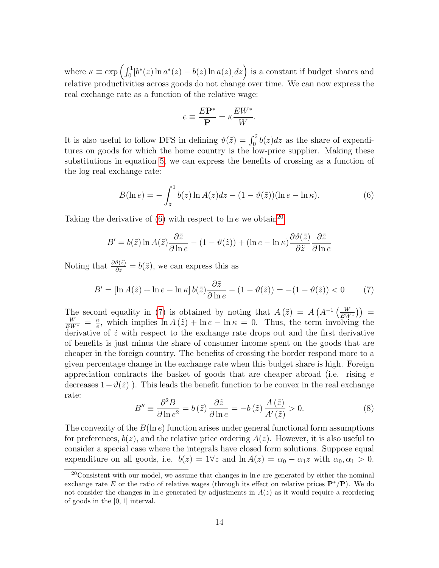where  $\kappa \equiv \exp \left( \int_0^1 [b^*(z) \ln a^*(z) - b(z) \ln a(z)] dz \right)$  is a constant if budget shares and relative productivities across goods do not change over time. We can now express the real exchange rate as a function of the relative wage:

$$
e \equiv \frac{E\mathbf{P}^*}{\mathbf{P}} = \kappa \frac{E W^*}{W}.
$$

It is also useful to follow DFS in defining  $\vartheta(\tilde{z}) = \int_0^{\tilde{z}} b(z) dz$  as the share of expenditures on goods for which the home country is the low-price supplier. Making these substitutions in equation 5, we can express the benefits of crossing as a function of the log real exchange rate:

$$
B(\ln e) = -\int_{\tilde{z}}^{1} b(z) \ln A(z) dz - (1 - \vartheta(\tilde{z})) (\ln e - \ln \kappa). \tag{6}
$$

Taking the derivative of (6) with respect to ln  $e$  we obtain<sup>20</sup>

$$
B' = b(\tilde{z}) \ln A(\tilde{z}) \frac{\partial \tilde{z}}{\partial \ln e} - (1 - \vartheta(\tilde{z})) + (\ln e - \ln \kappa) \frac{\partial \vartheta(\tilde{z})}{\partial \tilde{z}} \frac{\partial \tilde{z}}{\partial \ln e}
$$

Noting that  $\frac{\partial \vartheta(\tilde{z})}{\partial \tilde{z}} = b(\tilde{z})$ , we can express this as

$$
B' = \left[\ln A(\tilde{z}) + \ln e - \ln \kappa\right] b(\tilde{z}) \frac{\partial \tilde{z}}{\partial \ln e} - (1 - \vartheta(\tilde{z})) = -(1 - \vartheta(\tilde{z})) < 0 \tag{7}
$$

The second equality in (7) is obtained by noting that  $A(\tilde{z}) = A(A^{-1}(\frac{W}{EW^*})) =$  $\frac{W}{EW^*} = \frac{\kappa}{e}$  $\frac{\kappa}{e}$ , which implies  $\ln A(\tilde{z}) + \ln e - \ln \kappa = 0$ . Thus, the term involving the derivative of  $\tilde{z}$  with respect to the exchange rate drops out and the first derivative of benefits is just minus the share of consumer income spent on the goods that are cheaper in the foreign country. The benefits of crossing the border respond more to a given percentage change in the exchange rate when this budget share is high. Foreign appreciation contracts the basket of goods that are cheaper abroad (i.e. rising e decreases  $1-\vartheta(\tilde{z})$ ). This leads the benefit function to be convex in the real exchange rate:

$$
B'' \equiv \frac{\partial^2 B}{\partial \ln e^2} = b(\tilde{z}) \frac{\partial \tilde{z}}{\partial \ln e} = -b(\tilde{z}) \frac{A(\tilde{z})}{A'(\tilde{z})} > 0.
$$
 (8)

The convexity of the  $B(\ln e)$  function arises under general functional form assumptions for preferences,  $b(z)$ , and the relative price ordering  $A(z)$ . However, it is also useful to consider a special case where the integrals have closed form solutions. Suppose equal expenditure on all goods, i.e.  $b(z) = 1 \forall z$  and  $\ln A(z) = \alpha_0 - \alpha_1 z$  with  $\alpha_0, \alpha_1 > 0$ .

 $20$ Consistent with our model, we assume that changes in  $\ln e$  are generated by either the nominal exchange rate E or the ratio of relative wages (through its effect on relative prices  $\mathbf{P}^*/\mathbf{P}$ ). We do not consider the changes in ln e generated by adjustments in  $A(z)$  as it would require a reordering of goods in the [0, 1] interval.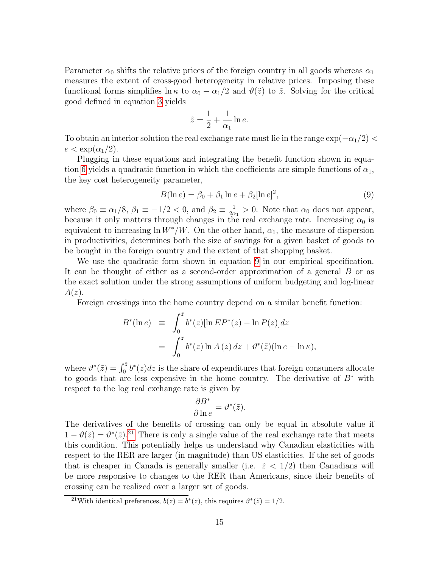Parameter  $\alpha_0$  shifts the relative prices of the foreign country in all goods whereas  $\alpha_1$ measures the extent of cross-good heterogeneity in relative prices. Imposing these functional forms simplifies  $\ln \kappa$  to  $\alpha_0 - \alpha_1/2$  and  $\vartheta(\tilde{z})$  to  $\tilde{z}$ . Solving for the critical good defined in equation 3 yields

$$
\tilde{z} = \frac{1}{2} + \frac{1}{\alpha_1} \ln e.
$$

To obtain an interior solution the real exchange rate must lie in the range  $\exp(-\alpha_1/2)$  $e < \exp(\alpha_1/2)$ .

Plugging in these equations and integrating the benefit function shown in equation 6 yields a quadratic function in which the coefficients are simple functions of  $\alpha_1$ , the key cost heterogeneity parameter,

$$
B(\ln e) = \beta_0 + \beta_1 \ln e + \beta_2 [\ln e]^2,
$$
\n(9)

where  $\beta_0 \equiv \alpha_1/8$ ,  $\beta_1 \equiv -1/2 < 0$ , and  $\beta_2 \equiv \frac{1}{20}$  $\frac{1}{2\alpha_1} > 0$ . Note that  $\alpha_0$  does not appear, because it only matters through changes in the real exchange rate. Increasing  $\alpha_0$  is equivalent to increasing  $\ln W^*/W$ . On the other hand,  $\alpha_1$ , the measure of dispersion in productivities, determines both the size of savings for a given basket of goods to be bought in the foreign country and the extent of that shopping basket.

We use the quadratic form shown in equation 9 in our empirical specification. It can be thought of either as a second-order approximation of a general B or as the exact solution under the strong assumptions of uniform budgeting and log-linear  $A(z)$ .

Foreign crossings into the home country depend on a similar benefit function:

$$
B^*(\ln e) \equiv \int_0^{\tilde{z}} b^*(z) [\ln E P^*(z) - \ln P(z)] dz
$$
  
= 
$$
\int_0^{\tilde{z}} b^*(z) \ln A(z) dz + \vartheta^*(\tilde{z}) (\ln e - \ln \kappa),
$$

where  $\vartheta^*(\tilde{z}) = \int_0^{\tilde{z}} b^*(z) dz$  is the share of expenditures that foreign consumers allocate to goods that are less expensive in the home country. The derivative of  $B^*$  with respect to the log real exchange rate is given by

$$
\frac{\partial B^*}{\partial \ln e} = \vartheta^*(\tilde{z}).
$$

The derivatives of the benefits of crossing can only be equal in absolute value if  $1 - \vartheta(\tilde{z}) = \vartheta^*(\tilde{z})^{21}$  There is only a single value of the real exchange rate that meets this condition. This potentially helps us understand why Canadian elasticities with respect to the RER are larger (in magnitude) than US elasticities. If the set of goods that is cheaper in Canada is generally smaller (i.e.  $\tilde{z}$  < 1/2) then Canadians will be more responsive to changes to the RER than Americans, since their benefits of crossing can be realized over a larger set of goods.

<sup>&</sup>lt;sup>21</sup>With identical preferences,  $b(z) = b^*(z)$ , this requires  $\vartheta^*(\tilde{z}) = 1/2$ .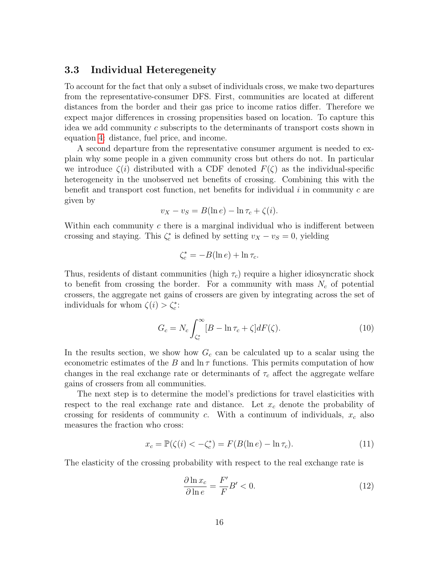#### 3.3 Individual Heteregeneity

To account for the fact that only a subset of individuals cross, we make two departures from the representative-consumer DFS. First, communities are located at different distances from the border and their gas price to income ratios differ. Therefore we expect major differences in crossing propensities based on location. To capture this idea we add community  $c$  subscripts to the determinants of transport costs shown in equation 4: distance, fuel price, and income.

A second departure from the representative consumer argument is needed to explain why some people in a given community cross but others do not. In particular we introduce  $\zeta(i)$  distributed with a CDF denoted  $F(\zeta)$  as the individual-specific heterogeneity in the unobserved net benefits of crossing. Combining this with the benefit and transport cost function, net benefits for individual  $i$  in community  $c$  are given by

$$
v_X - v_S = B(\ln e) - \ln \tau_c + \zeta(i).
$$

Within each community  $c$  there is a marginal individual who is indifferent between crossing and staying. This  $\zeta_c^*$  is defined by setting  $v_X - v_S = 0$ , yielding

$$
\zeta_c^* = -B(\ln e) + \ln \tau_c.
$$

Thus, residents of distant communities (high  $\tau_c$ ) require a higher idiosyncratic shock to benefit from crossing the border. For a community with mass  $N_c$  of potential crossers, the aggregate net gains of crossers are given by integrating across the set of individuals for whom  $\zeta(i) > \zeta_c^*$ :

$$
G_c = N_c \int_{\zeta_c^*}^{\infty} [B - \ln \tau_c + \zeta] dF(\zeta). \tag{10}
$$

In the results section, we show how  $G_c$  can be calculated up to a scalar using the econometric estimates of the B and  $\ln \tau$  functions. This permits computation of how changes in the real exchange rate or determinants of  $\tau_c$  affect the aggregate welfare gains of crossers from all communities.

The next step is to determine the model's predictions for travel elasticities with respect to the real exchange rate and distance. Let  $x_c$  denote the probability of crossing for residents of community c. With a continuum of individuals,  $x_c$  also measures the fraction who cross:

$$
x_c = \mathbb{P}(\zeta(i) < -\zeta_c^*) = F(B(\ln e) - \ln \tau_c). \tag{11}
$$

The elasticity of the crossing probability with respect to the real exchange rate is

$$
\frac{\partial \ln x_c}{\partial \ln e} = \frac{F'}{F} B' < 0. \tag{12}
$$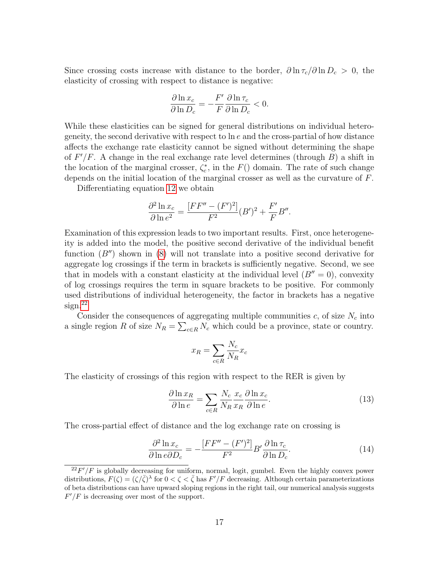Since crossing costs increase with distance to the border,  $\partial \ln \tau_c / \partial \ln D_c > 0$ , the elasticity of crossing with respect to distance is negative:

$$
\frac{\partial \ln x_c}{\partial \ln D_c} = -\frac{F'}{F} \frac{\partial \ln \tau_c}{\partial \ln D_c} < 0.
$$

While these elasticities can be signed for general distributions on individual heterogeneity, the second derivative with respect to  $\ln e$  and the cross-partial of how distance affects the exchange rate elasticity cannot be signed without determining the shape of  $F'/F$ . A change in the real exchange rate level determines (through  $B$ ) a shift in the location of the marginal crosser,  $\zeta_c^*$ , in the  $F()$  domain. The rate of such change depends on the initial location of the marginal crosser as well as the curvature of F.

Differentiating equation 12 we obtain

$$
\frac{\partial^2 \ln x_c}{\partial \ln e^2} = \frac{[FF'' - (F')^2]}{F^2} (B')^2 + \frac{F'}{F} B''.
$$

Examination of this expression leads to two important results. First, once heterogeneity is added into the model, the positive second derivative of the individual benefit function  $(B'')$  shown in (8) will not translate into a positive second derivative for aggregate log crossings if the term in brackets is sufficiently negative. Second, we see that in models with a constant elasticity at the individual level  $(B'' = 0)$ , convexity of log crossings requires the term in square brackets to be positive. For commonly used distributions of individual heterogeneity, the factor in brackets has a negative  $sign.<sup>22</sup>$ 

Consider the consequences of aggregating multiple communities  $c$ , of size  $N_c$  into a single region R of size  $N_R = \sum_{c \in R} N_c$  which could be a province, state or country.

$$
x_R = \sum_{c \in R} \frac{N_c}{N_R} x_c
$$

The elasticity of crossings of this region with respect to the RER is given by

$$
\frac{\partial \ln x_R}{\partial \ln e} = \sum_{c \in R} \frac{N_c}{N_R} \frac{x_c}{x_R} \frac{\partial \ln x_c}{\partial \ln e}.
$$
\n(13)

The cross-partial effect of distance and the log exchange rate on crossing is

$$
\frac{\partial^2 \ln x_c}{\partial \ln e \partial D_c} = -\frac{[FF'' - (F')^2]}{F^2} B' \frac{\partial \ln \tau_c}{\partial \ln D_c}.
$$
\n(14)

 $2^{2}F'/F$  is globally decreasing for uniform, normal, logit, gumbel. Even the highly convex power distributions,  $F(\zeta) = (\zeta/\overline{\zeta})^{\lambda}$  for  $0 < \zeta < \overline{\zeta}$  has  $F'/F$  decreasing. Although certain parameterizations of beta distributions can have upward sloping regions in the right tail, our numerical analysis suggests  $F'/F$  is decreasing over most of the support.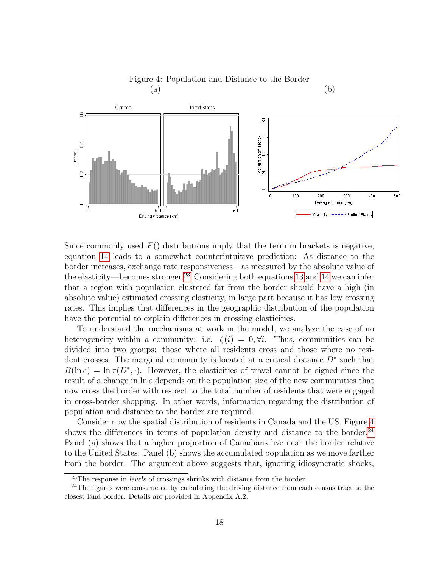

Figure 4: Population and Distance to the Border  $(a)$  (b)

Since commonly used  $F()$  distributions imply that the term in brackets is negative, equation 14 leads to a somewhat counterintuitive prediction: As distance to the border increases, exchange rate responsiveness—as measured by the absolute value of the elasticity—becomes stronger.23 Considering both equations 13 and 14 we can infer that a region with population clustered far from the border should have a high (in absolute value) estimated crossing elasticity, in large part because it has low crossing rates. This implies that differences in the geographic distribution of the population have the potential to explain differences in crossing elasticities.

To understand the mechanisms at work in the model, we analyze the case of no heterogeneity within a community: i.e.  $\zeta(i) = 0, \forall i$ . Thus, communities can be divided into two groups: those where all residents cross and those where no resident crosses. The marginal community is located at a critical distance  $D^*$  such that  $B(\ln e) = \ln \tau(D^*, \cdot)$ . However, the elasticities of travel cannot be signed since the result of a change in ln e depends on the population size of the new communities that now cross the border with respect to the total number of residents that were engaged in cross-border shopping. In other words, information regarding the distribution of population and distance to the border are required.

Consider now the spatial distribution of residents in Canada and the US. Figure 4 shows the differences in terms of population density and distance to the border. $^{24}$ Panel (a) shows that a higher proportion of Canadians live near the border relative to the United States. Panel (b) shows the accumulated population as we move farther from the border. The argument above suggests that, ignoring idiosyncratic shocks,

 $23$ The response in *levels* of crossings shrinks with distance from the border.

 $24$ The figures were constructed by calculating the driving distance from each census tract to the closest land border. Details are provided in Appendix A.2.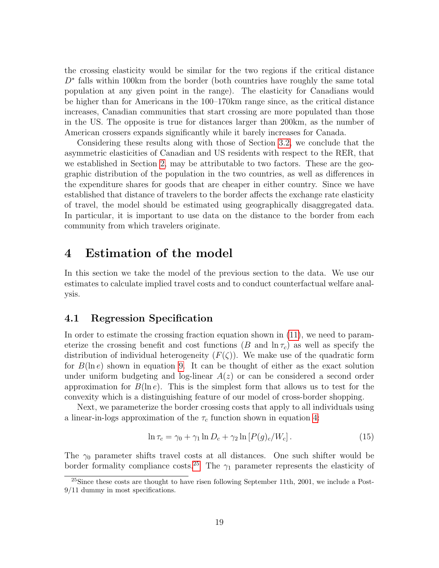the crossing elasticity would be similar for the two regions if the critical distance D<sup>∗</sup> falls within 100km from the border (both countries have roughly the same total population at any given point in the range). The elasticity for Canadians would be higher than for Americans in the 100–170km range since, as the critical distance increases, Canadian communities that start crossing are more populated than those in the US. The opposite is true for distances larger than 200km, as the number of American crossers expands significantly while it barely increases for Canada.

Considering these results along with those of Section 3.2, we conclude that the asymmetric elasticities of Canadian and US residents with respect to the RER, that we established in Section 2, may be attributable to two factors. These are the geographic distribution of the population in the two countries, as well as differences in the expenditure shares for goods that are cheaper in either country. Since we have established that distance of travelers to the border affects the exchange rate elasticity of travel, the model should be estimated using geographically disaggregated data. In particular, it is important to use data on the distance to the border from each community from which travelers originate.

## 4 Estimation of the model

In this section we take the model of the previous section to the data. We use our estimates to calculate implied travel costs and to conduct counterfactual welfare analysis.

#### 4.1 Regression Specification

In order to estimate the crossing fraction equation shown in (11), we need to parameterize the crossing benefit and cost functions (B and  $\ln \tau_c$ ) as well as specify the distribution of individual heterogeneity  $(F(\zeta))$ . We make use of the quadratic form for  $B(\ln e)$  shown in equation 9. It can be thought of either as the exact solution under uniform budgeting and log-linear  $A(z)$  or can be considered a second order approximation for  $B(\ln e)$ . This is the simplest form that allows us to test for the convexity which is a distinguishing feature of our model of cross-border shopping.

Next, we parameterize the border crossing costs that apply to all individuals using a linear-in-logs approximation of the  $\tau_c$  function shown in equation 4:

$$
\ln \tau_c = \gamma_0 + \gamma_1 \ln D_c + \gamma_2 \ln [P(g)_c/W_c]. \tag{15}
$$

The  $\gamma_0$  parameter shifts travel costs at all distances. One such shifter would be border formality compliance costs.<sup>25</sup> The  $\gamma_1$  parameter represents the elasticity of

 $^{25}$ Since these costs are thought to have risen following September 11th, 2001, we include a Post-9/11 dummy in most specifications.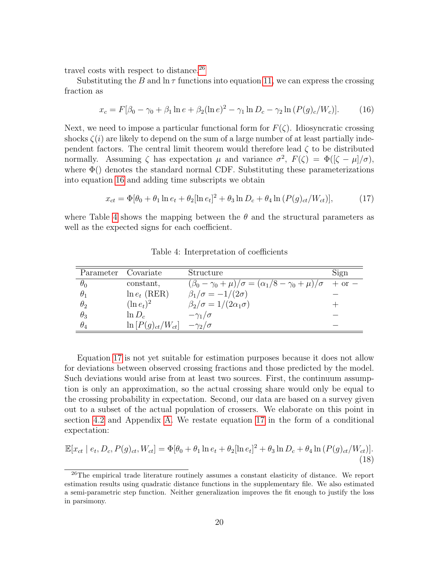travel costs with respect to distance.<sup>26</sup>

Substituting the B and  $\ln \tau$  functions into equation 11, we can express the crossing fraction as

$$
x_c = F[\beta_0 - \gamma_0 + \beta_1 \ln e + \beta_2 (\ln e)^2 - \gamma_1 \ln D_c - \gamma_2 \ln (P(g)_c/W_c)].
$$
 (16)

Next, we need to impose a particular functional form for  $F(\zeta)$ . Idiosyncratic crossing shocks  $\zeta(i)$  are likely to depend on the sum of a large number of at least partially independent factors. The central limit theorem would therefore lead  $\zeta$  to be distributed normally. Assuming  $\zeta$  has expectation  $\mu$  and variance  $\sigma^2$ ,  $F(\zeta) = \Phi([\zeta - \mu]/\sigma)$ , where  $\Phi()$  denotes the standard normal CDF. Substituting these parameterizations into equation 16 and adding time subscripts we obtain

$$
x_{ct} = \Phi[\theta_0 + \theta_1 \ln e_t + \theta_2 [\ln e_t]^2 + \theta_3 \ln D_c + \theta_4 \ln (P(g)_{ct}/W_{ct})],
$$
 (17)

where Table 4 shows the mapping between the  $\theta$  and the structural parameters as well as the expected signs for each coefficient.

| Parameter Covariate |                         | Structure                                                                              | Sign |
|---------------------|-------------------------|----------------------------------------------------------------------------------------|------|
| $\theta_0$          | constant,               | $(\beta_0 - \gamma_0 + \mu)/\sigma = (\alpha_1/8 - \gamma_0 + \mu)/\sigma + \text{or}$ |      |
| $\theta_1$          | $\ln e_t$ (RER)         | $\beta_1/\sigma = -1/(2\sigma)$                                                        |      |
| $\theta_2$          | $(\ln e_t)^2$           | $\beta_2/\sigma = 1/(2\alpha_1\sigma)$                                                 |      |
| $\theta_3$          | $\ln D_c$               | $-\gamma_1/\sigma$                                                                     |      |
| $\theta_4$          | $\ln[P(g)_{ct}/W_{ct}]$ | $-\gamma_2/\sigma$                                                                     |      |

Table 4: Interpretation of coefficients

Equation 17 is not yet suitable for estimation purposes because it does not allow for deviations between observed crossing fractions and those predicted by the model. Such deviations would arise from at least two sources. First, the continuum assumption is only an approximation, so the actual crossing share would only be equal to the crossing probability in expectation. Second, our data are based on a survey given out to a subset of the actual population of crossers. We elaborate on this point in section 4.2 and Appendix A. We restate equation 17 in the form of a conditional expectation:

$$
\mathbb{E}[x_{ct} | e_t, D_c, P(g)_{ct}, W_{ct}] = \Phi[\theta_0 + \theta_1 \ln e_t + \theta_2 [\ln e_t]^2 + \theta_3 \ln D_c + \theta_4 \ln (P(g)_{ct}/W_{ct})].
$$
\n(18)

<sup>&</sup>lt;sup>26</sup>The empirical trade literature routinely assumes a constant elasticity of distance. We report estimation results using quadratic distance functions in the supplementary file. We also estimated a semi-parametric step function. Neither generalization improves the fit enough to justify the loss in parsimony.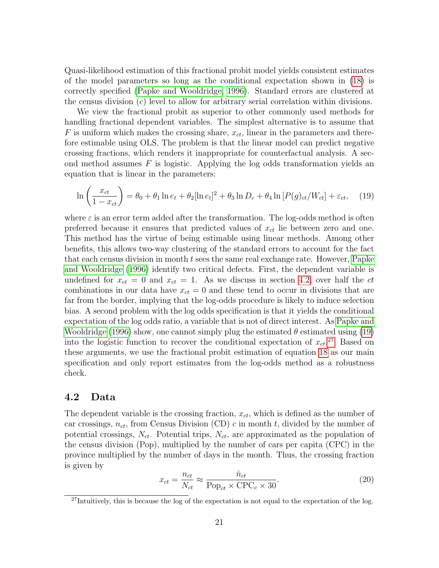Quasi-likelihood estimation of this fractional probit model yields consistent estimates of the model parameters so long as the conditional expectation shown in (18) is correctly specified (Papke and Wooldridge, 1996). Standard errors are clustered at the census division  $(c)$  level to allow for arbitrary serial correlation within divisions.

We view the fractional probit as superior to other commonly used methods for handling fractional dependent variables. The simplest alternative is to assume that F is uniform which makes the crossing share,  $x_{ct}$ , linear in the parameters and therefore estimable using OLS. The problem is that the linear model can predict negative crossing fractions, which renders it inappropriate for counterfactual analysis. A second method assumes  $F$  is logistic. Applying the log odds transformation yields an equation that is linear in the parameters:

$$
\ln\left(\frac{x_{ct}}{1-x_{ct}}\right) = \theta_0 + \theta_1 \ln e_t + \theta_2 [\ln e_t]^2 + \theta_3 \ln D_c + \theta_4 \ln [P(g)_{ct}/W_{ct}] + \varepsilon_{ct}, \quad (19)
$$

where  $\varepsilon$  is an error term added after the transformation. The log-odds method is often preferred because it ensures that predicted values of  $x_{ct}$  lie between zero and one. This method has the virtue of being estimable using linear methods. Among other benefits, this allows two-way clustering of the standard errors to account for the fact that each census division in month  $t$  sees the same real exchange rate. However, Papke and Wooldridge (1996) identify two critical defects. First, the dependent variable is undefined for  $x_{ct} = 0$  and  $x_{ct} = 1$ . As we discuss in section 4.2, over half the ct combinations in our data have  $x_{ct} = 0$  and these tend to occur in divisions that are far from the border, implying that the log-odds procedure is likely to induce selection bias. A second problem with the log odds specification is that it yields the conditional expectation of the log odds ratio, a variable that is not of direct interest. As Papke and Wooldridge (1996) show, one cannot simply plug the estimated  $\theta$  estimated using (19) into the logistic function to recover the conditional expectation of  $x_{ct}$ <sup>27</sup> Based on these arguments, we use the fractional probit estimation of equation 18 as our main specification and only report estimates from the log-odds method as a robustness check.

#### 4.2 Data

The dependent variable is the crossing fraction,  $x_{ct}$ , which is defined as the number of car crossings,  $n_{ct}$ , from Census Division (CD) c in month t, divided by the number of potential crossings,  $N_{ct}$ . Potential trips,  $N_{ct}$ , are approximated as the population of the census division (Pop), multiplied by the number of cars per capita (CPC) in the province multiplied by the number of days in the month. Thus, the crossing fraction is given by

$$
x_{ct} = \frac{n_{ct}}{N_{ct}} \approx \frac{\hat{n}_{ct}}{\text{Pop}_{ct} \times \text{CPC}_c \times 30}.
$$
\n(20)

 $27$ Intuitively, this is because the log of the expectation is not equal to the expectation of the log.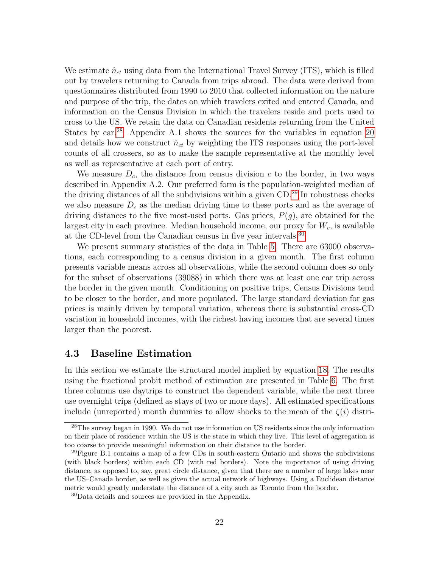We estimate  $\hat{n}_{ct}$  using data from the International Travel Survey (ITS), which is filled out by travelers returning to Canada from trips abroad. The data were derived from questionnaires distributed from 1990 to 2010 that collected information on the nature and purpose of the trip, the dates on which travelers exited and entered Canada, and information on the Census Division in which the travelers reside and ports used to cross to the US. We retain the data on Canadian residents returning from the United States by car.<sup>28</sup> Appendix A.1 shows the sources for the variables in equation 20 and details how we construct  $\hat{n}_{ct}$  by weighting the ITS responses using the port-level counts of all crossers, so as to make the sample representative at the monthly level as well as representative at each port of entry.

We measure  $D_c$ , the distance from census division c to the border, in two ways described in Appendix A.2. Our preferred form is the population-weighted median of the driving distances of all the subdivisions within a given CD.29 In robustness checks we also measure  $D<sub>c</sub>$  as the median driving time to these ports and as the average of driving distances to the five most-used ports. Gas prices,  $P(g)$ , are obtained for the largest city in each province. Median household income, our proxy for  $W_c$ , is available at the CD-level from the Canadian census in five year intervals.30

We present summary statistics of the data in Table 5. There are 63000 observations, each corresponding to a census division in a given month. The first column presents variable means across all observations, while the second column does so only for the subset of observations (39088) in which there was at least one car trip across the border in the given month. Conditioning on positive trips, Census Divisions tend to be closer to the border, and more populated. The large standard deviation for gas prices is mainly driven by temporal variation, whereas there is substantial cross-CD variation in household incomes, with the richest having incomes that are several times larger than the poorest.

#### 4.3 Baseline Estimation

In this section we estimate the structural model implied by equation 18. The results using the fractional probit method of estimation are presented in Table 6. The first three columns use daytrips to construct the dependent variable, while the next three use overnight trips (defined as stays of two or more days). All estimated specifications include (unreported) month dummies to allow shocks to the mean of the  $\zeta(i)$  distri-

<sup>&</sup>lt;sup>28</sup>The survey began in 1990. We do not use information on US residents since the only information on their place of residence within the US is the state in which they live. This level of aggregation is too coarse to provide meaningful information on their distance to the border.

<sup>29</sup>Figure B.1 contains a map of a few CDs in south-eastern Ontario and shows the subdivisions (with black borders) within each CD (with red borders). Note the importance of using driving distance, as opposed to, say, great circle distance, given that there are a number of large lakes near the US–Canada border, as well as given the actual network of highways. Using a Euclidean distance metric would greatly understate the distance of a city such as Toronto from the border.

<sup>30</sup>Data details and sources are provided in the Appendix.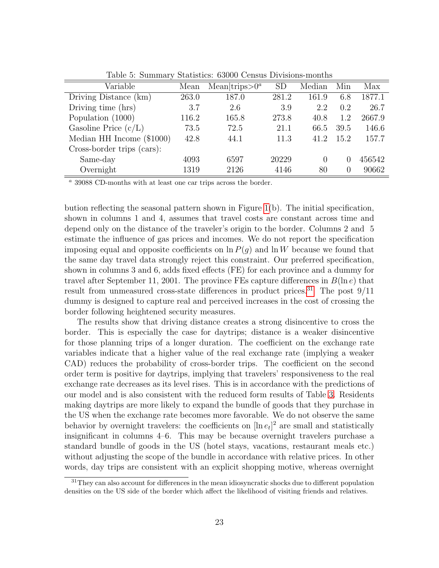| Variable                   | Mean  | Mean trips $>0^a$ | <b>SD</b> | Median | Min      | Max    |
|----------------------------|-------|-------------------|-----------|--------|----------|--------|
| Driving Distance (km)      | 263.0 | 187.0             | 281.2     | 161.9  | 6.8      | 1877.1 |
| Driving time (hrs)         | 3.7   | 2.6               | 3.9       | 2.2    | 0.2      | 26.7   |
| Population (1000)          | 116.2 | 165.8             | 273.8     | 40.8   | 1.2      | 2667.9 |
| Gasoline Price $(c/L)$     | 73.5  | 72.5              | 21.1      | 66.5   | 39.5     | 146.6  |
| Median HH Income (\$1000)  | 42.8  | 44.1              | 11.3      | 41.2   | 15.2     | 157.7  |
| Cross-border trips (cars): |       |                   |           |        |          |        |
| Same-day                   | 4093  | 6597              | 20229     | 0      | $\cup$   | 456542 |
| Overnight                  | 1319  | 2126              | 4146      | 80     | $\theta$ | 90662  |

Table 5: Summary Statistics: 63000 Census Divisions-months

<sup>a</sup> 39088 CD-months with at least one car trips across the border.

bution reflecting the seasonal pattern shown in Figure 1(b). The initial specification, shown in columns 1 and 4, assumes that travel costs are constant across time and depend only on the distance of the traveler's origin to the border. Columns 2 and 5 estimate the influence of gas prices and incomes. We do not report the specification imposing equal and opposite coefficients on  $\ln P(q)$  and  $\ln W$  because we found that the same day travel data strongly reject this constraint. Our preferred specification, shown in columns 3 and 6, adds fixed effects (FE) for each province and a dummy for travel after September 11, 2001. The province FEs capture differences in  $B(\ln e)$  that result from unmeasured cross-state differences in product prices.<sup>31</sup> The post  $9/11$ dummy is designed to capture real and perceived increases in the cost of crossing the border following heightened security measures.

The results show that driving distance creates a strong disincentive to cross the border. This is especially the case for daytrips; distance is a weaker disincentive for those planning trips of a longer duration. The coefficient on the exchange rate variables indicate that a higher value of the real exchange rate (implying a weaker CAD) reduces the probability of cross-border trips. The coefficient on the second order term is positive for daytrips, implying that travelers' responsiveness to the real exchange rate decreases as its level rises. This is in accordance with the predictions of our model and is also consistent with the reduced form results of Table 3. Residents making daytrips are more likely to expand the bundle of goods that they purchase in the US when the exchange rate becomes more favorable. We do not observe the same behavior by overnight travelers: the coefficients on  $[\ln e_t]^2$  are small and statistically insignificant in columns 4–6. This may be because overnight travelers purchase a standard bundle of goods in the US (hotel stays, vacations, restaurant meals etc.) without adjusting the scope of the bundle in accordance with relative prices. In other words, day trips are consistent with an explicit shopping motive, whereas overnight

<sup>&</sup>lt;sup>31</sup>They can also account for differences in the mean idiosyncratic shocks due to different population densities on the US side of the border which affect the likelihood of visiting friends and relatives.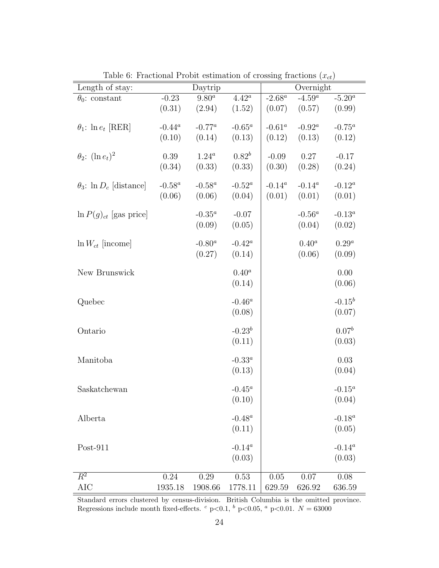| Length of stay:                  |           | Daytrip    |            |           | Overnight |                   |
|----------------------------------|-----------|------------|------------|-----------|-----------|-------------------|
| $\theta_0$ : constant            | $-0.23$   | $9.80^{a}$ | $4.42^a$   | $-2.68^a$ | $-4.59^a$ | $-5.20^a$         |
|                                  | (0.31)    | (2.94)     | (1.52)     | (0.07)    | (0.57)    | (0.99)            |
|                                  |           |            |            |           |           |                   |
| $\theta_1$ : $\ln e_t$ [RER]     | $-0.44^a$ | $-0.77^a$  | $-0.65^a$  | $-0.61^a$ | $-0.92^a$ | $-0.75^a$         |
|                                  | (0.10)    | (0.14)     | (0.13)     | (0.12)    | (0.13)    | (0.12)            |
| $\theta_2$ : $(\ln e_t)^2$       | 0.39      | $1.24^a$   | $0.82^b$   | $-0.09$   | $0.27\,$  | $-0.17$           |
|                                  | (0.34)    | (0.33)     | (0.33)     | (0.30)    | (0.28)    | (0.24)            |
|                                  |           |            |            |           |           |                   |
| $\theta_3$ : ln $D_c$ [distance] | $-0.58^a$ | $-0.58^a$  | $-0.52^a$  | $-0.14^a$ | $-0.14^a$ | $-0.12^a$         |
|                                  | (0.06)    | (0.06)     | (0.04)     | (0.01)    | (0.01)    | (0.01)            |
| $\ln P(g)_{ct}$ [gas price]      |           | $-0.35^a$  | $-0.07$    |           | $-0.56^a$ | $-0.13^a$         |
|                                  |           | (0.09)     | (0.05)     |           | (0.04)    | (0.02)            |
|                                  |           |            |            |           |           |                   |
| $\ln W_{ct}$ [income]            |           | $-0.80^a$  | $-0.42^a$  |           | $0.40^a$  | $0.29^a$          |
|                                  |           | (0.27)     | (0.14)     |           | (0.06)    | (0.09)            |
|                                  |           |            |            |           |           |                   |
| New Brunswick                    |           |            | $0.40^a$   |           |           | 0.00              |
|                                  |           |            | (0.14)     |           |           | (0.06)            |
| Quebec                           |           |            | $-0.46^a$  |           |           | $-0.15^b$         |
|                                  |           |            | (0.08)     |           |           | (0.07)            |
|                                  |           |            |            |           |           |                   |
| Ontario                          |           |            | $-0.23^b$  |           |           | 0.07 <sup>b</sup> |
|                                  |           |            | (0.11)     |           |           | (0.03)            |
| Manitoba                         |           |            | $-0.33^a$  |           |           | 0.03              |
|                                  |           |            | (0.13)     |           |           | (0.04)            |
|                                  |           |            |            |           |           |                   |
| Saskatchewan                     |           |            | $-0.45^a$  |           |           | $-0.15^a$         |
|                                  |           |            | (0.10)     |           |           | (0.04)            |
|                                  |           |            |            |           |           |                   |
| Alberta                          |           |            | -0.48 $^a$ |           |           | $-0.18^a$         |
|                                  |           |            | (0.11)     |           |           | (0.05)            |
| $Post-911$                       |           |            | $-0.14^a$  |           |           | $-0.14^a$         |
|                                  |           |            | (0.03)     |           |           | (0.03)            |
|                                  |           |            |            |           |           |                   |
| $\overline{R^2}$                 | 0.24      | 0.29       | 0.53       | 0.05      | 0.07      | 0.08              |
| <b>AIC</b>                       | 1935.18   | 1908.66    | 1778.11    | 629.59    | 626.92    | 636.59            |

Table 6: Fractional Probit estimation of crossing fractions  $(x_{ct})$ 

Standard errors clustered by census-division. British Columbia is the omitted province. Regressions include month fixed-effects. <sup>c</sup> p<0.1, <sup>b</sup> p<0.05, <sup>a</sup> p<0.01.  $N = 63000$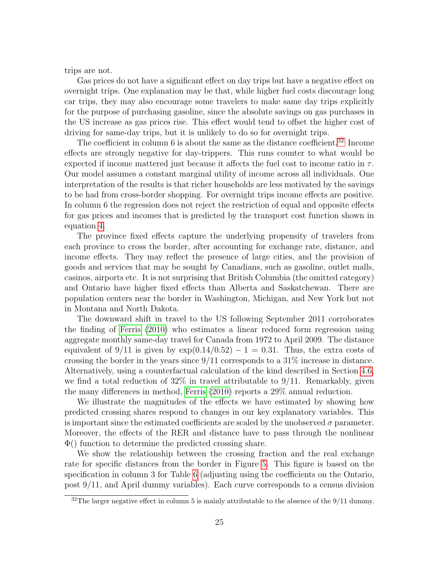trips are not.

Gas prices do not have a significant effect on day trips but have a negative effect on overnight trips. One explanation may be that, while higher fuel costs discourage long car trips, they may also encourage some travelers to make same day trips explicitly for the purpose of purchasing gasoline, since the absolute savings on gas purchases in the US increase as gas prices rise. This effect would tend to offset the higher cost of driving for same-day trips, but it is unlikely to do so for overnight trips.

The coefficient in column 6 is about the same as the distance coefficient.<sup>32</sup> Income effects are strongly negative for day-trippers. This runs counter to what would be expected if income mattered just because it affects the fuel cost to income ratio in  $\tau$ . Our model assumes a constant marginal utility of income across all individuals. One interpretation of the results is that richer households are less motivated by the savings to be had from cross-border shopping. For overnight trips income effects are positive. In column 6 the regression does not reject the restriction of equal and opposite effects for gas prices and incomes that is predicted by the transport cost function shown in equation 4.

The province fixed effects capture the underlying propensity of travelers from each province to cross the border, after accounting for exchange rate, distance, and income effects. They may reflect the presence of large cities, and the provision of goods and services that may be sought by Canadians, such as gasoline, outlet malls, casinos, airports etc. It is not surprising that British Columbia (the omitted category) and Ontario have higher fixed effects than Alberta and Saskatchewan. There are population centers near the border in Washington, Michigan, and New York but not in Montana and North Dakota.

The downward shift in travel to the US following September 2011 corroborates the finding of Ferris (2010) who estimates a linear reduced form regression using aggregate monthly same-day travel for Canada from 1972 to April 2009. The distance equivalent of  $9/11$  is given by  $\exp(0.14/0.52) - 1 = 0.31$ . Thus, the extra costs of crossing the border in the years since  $9/11$  corresponds to a  $31\%$  increase in distance. Alternatively, using a counterfactual calculation of the kind described in Section 4.6, we find a total reduction of  $32\%$  in travel attributable to  $9/11$ . Remarkably, given the many differences in method, Ferris (2010) reports a 29% annual reduction.

We illustrate the magnitudes of the effects we have estimated by showing how predicted crossing shares respond to changes in our key explanatory variables. This is important since the estimated coefficients are scaled by the unobserved  $\sigma$  parameter. Moreover, the effects of the RER and distance have to pass through the nonlinear Φ() function to determine the predicted crossing share.

We show the relationship between the crossing fraction and the real exchange rate for specific distances from the border in Figure 5. This figure is based on the specification in column 3 for Table 6 (adjusting using the coefficients on the Ontario, post 9/11, and April dummy variables). Each curve corresponds to a census division

 $32$ The larger negative effect in column 5 is mainly attributable to the absence of the  $9/11$  dummy.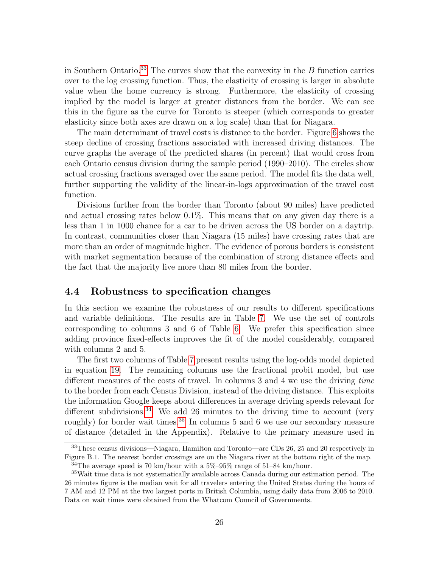in Southern Ontario.<sup>33</sup> The curves show that the convexity in the  $B$  function carries over to the log crossing function. Thus, the elasticity of crossing is larger in absolute value when the home currency is strong. Furthermore, the elasticity of crossing implied by the model is larger at greater distances from the border. We can see this in the figure as the curve for Toronto is steeper (which corresponds to greater elasticity since both axes are drawn on a log scale) than that for Niagara.

The main determinant of travel costs is distance to the border. Figure 6 shows the steep decline of crossing fractions associated with increased driving distances. The curve graphs the average of the predicted shares (in percent) that would cross from each Ontario census division during the sample period (1990–2010). The circles show actual crossing fractions averaged over the same period. The model fits the data well, further supporting the validity of the linear-in-logs approximation of the travel cost function.

Divisions further from the border than Toronto (about 90 miles) have predicted and actual crossing rates below 0.1%. This means that on any given day there is a less than 1 in 1000 chance for a car to be driven across the US border on a daytrip. In contrast, communities closer than Niagara (15 miles) have crossing rates that are more than an order of magnitude higher. The evidence of porous borders is consistent with market segmentation because of the combination of strong distance effects and the fact that the majority live more than 80 miles from the border.

#### 4.4 Robustness to specification changes

In this section we examine the robustness of our results to different specifications and variable definitions. The results are in Table 7. We use the set of controls corresponding to columns 3 and 6 of Table 6. We prefer this specification since adding province fixed-effects improves the fit of the model considerably, compared with columns 2 and 5.

The first two columns of Table 7 present results using the log-odds model depicted in equation 19. The remaining columns use the fractional probit model, but use different measures of the costs of travel. In columns 3 and 4 we use the driving time to the border from each Census Division, instead of the driving distance. This exploits the information Google keeps about differences in average driving speeds relevant for different subdivisions.<sup>34</sup> We add 26 minutes to the driving time to account (very roughly) for border wait times.<sup>35</sup> In columns 5 and 6 we use our secondary measure of distance (detailed in the Appendix). Relative to the primary measure used in

<sup>33</sup>These census divisions—Niagara, Hamilton and Toronto—are CDs 26, 25 and 20 respectively in Figure B.1. The nearest border crossings are on the Niagara river at the bottom right of the map.

<sup>&</sup>lt;sup>34</sup>The average speed is 70 km/hour with a  $5\%$ -95% range of 51-84 km/hour.

<sup>35</sup>Wait time data is not systematically available across Canada during our estimation period. The 26 minutes figure is the median wait for all travelers entering the United States during the hours of 7 AM and 12 PM at the two largest ports in British Columbia, using daily data from 2006 to 2010. Data on wait times were obtained from the Whatcom Council of Governments.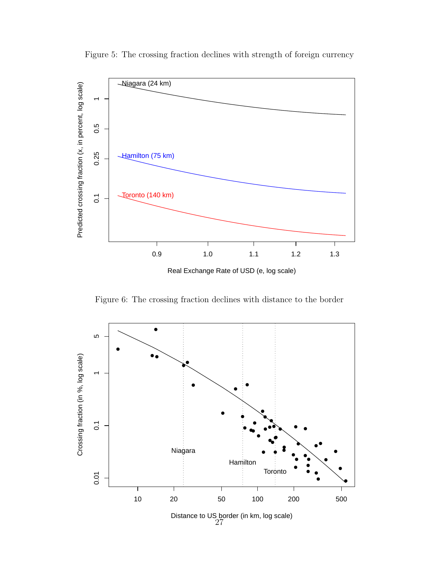

Figure 5: The crossing fraction declines with strength of foreign currency

Real Exchange Rate of USD (e, log scale)

Figure 6: The crossing fraction declines with distance to the border

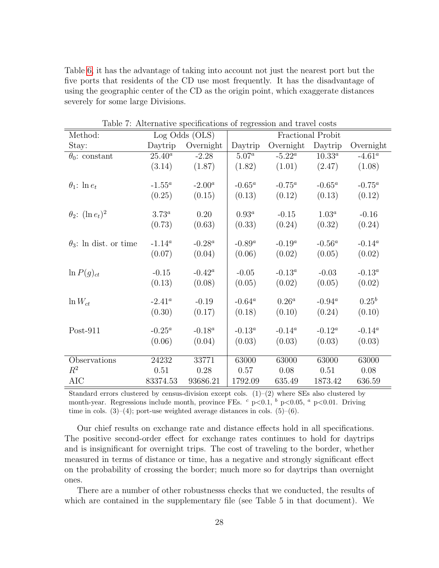Table 6, it has the advantage of taking into account not just the nearest port but the five ports that residents of the CD use most frequently. It has the disadvantage of using the geographic center of the CD as the origin point, which exaggerate distances severely for some large Divisions.

| Method:                       |           | Log Odds (OLS) |                  | Fractional Probit      |           |            |  |
|-------------------------------|-----------|----------------|------------------|------------------------|-----------|------------|--|
| Stay:                         | Daytrip   | Overnight      | Daytrip          | Overnight              | Daytrip   | Overnight  |  |
| $\theta_0$ : constant         | $25.40^a$ | $-2.28$        | $5.07^a$         | $-5.22^{\overline{a}}$ | $10.33^a$ | $-4.61^a$  |  |
|                               | (3.14)    | (1.87)         | (1.82)           | (1.01)                 | (2.47)    | (1.08)     |  |
| $\theta_1$ : $\ln e_t$        | $-1.55^a$ | $-2.00^a$      | -0.65 $^a$       | $-0.75^a$              | $-0.65^a$ | $-0.75^a$  |  |
|                               | (0.25)    | (0.15)         | (0.13)           | (0.12)                 | (0.13)    | (0.12)     |  |
| $\theta_2$ : $(\ln e_t)^2$    | $3.73^a$  | 0.20           | $0.93^a$         | $-0.15$                | $1.03^a$  | $-0.16$    |  |
|                               | (0.73)    | (0.63)         | (0.33)           | (0.24)                 | (0.32)    | (0.24)     |  |
| $\theta_3$ : ln dist. or time | $-1.14^a$ | $-0.28^a$      | $-0.89^a$        | $-0.19^a$              | $-0.56^a$ | $-0.14^a$  |  |
|                               | (0.07)    | (0.04)         | (0.06)           | (0.02)                 | (0.05)    | (0.02)     |  |
| $\ln P(g)_{ct}$               | $-0.15$   | $-0.42^a$      | $-0.05$          | $-0.13^a$              | $-0.03$   | $-0.13^a$  |  |
|                               | (0.13)    | (0.08)         | (0.05)           | (0.02)                 | (0.05)    | (0.02)     |  |
| $\ln W_{ct}$                  | $-2.41^a$ | $-0.19$        | $-0.64^a$        | $0.26^a$               | $-0.94^a$ | $0.25^{b}$ |  |
|                               | (0.30)    | (0.17)         | (0.18)           | (0.10)                 | (0.24)    | (0.10)     |  |
| $Post-911$                    | $-0.25^a$ | $-0.18^a$      | $\text{-}0.13^a$ | $-0.14^a$              | $-0.12^a$ | $-0.14^a$  |  |
|                               | (0.06)    | (0.04)         | (0.03)           | (0.03)                 | (0.03)    | (0.03)     |  |
| Observations                  | 24232     | 33771          | 63000            | 63000                  | 63000     | 63000      |  |
| $R^2$                         | 0.51      | 0.28           | 0.57             | 0.08                   | 0.51      | 0.08       |  |
| <b>AIC</b>                    | 83374.53  | 93686.21       | 1792.09          | 635.49                 | 1873.42   | 636.59     |  |

Table 7: Alternative specifications of regression and travel costs

Standard errors clustered by census-division except cols.  $(1)-(2)$  where SEs also clustered by month-year. Regressions include month, province FEs.  $\degree$  p<0.1,  $\degree$  p<0.05,  $\degree$  p<0.01. Driving time in cols.  $(3)$ – $(4)$ ; port-use weighted average distances in cols.  $(5)$ – $(6)$ .

Our chief results on exchange rate and distance effects hold in all specifications. The positive second-order effect for exchange rates continues to hold for daytrips and is insignificant for overnight trips. The cost of traveling to the border, whether measured in terms of distance or time, has a negative and strongly significant effect on the probability of crossing the border; much more so for daytrips than overnight ones.

There are a number of other robustnesss checks that we conducted, the results of which are contained in the supplementary file (see Table 5 in that document). We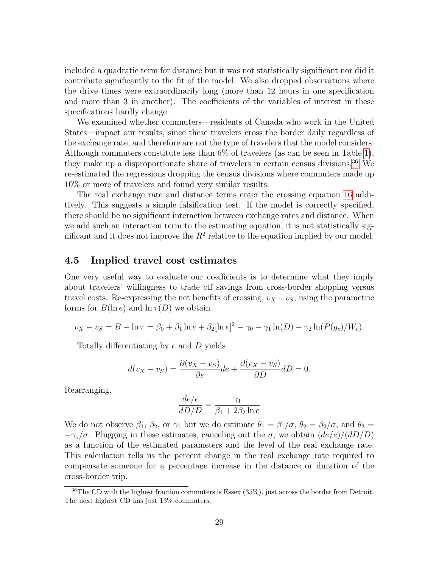included a quadratic term for distance but it was not statistically significant nor did it contribute significantly to the fit of the model. We also dropped observations where the drive times were extraordinarily long (more than 12 hours in one specification and more than 3 in another). The coefficients of the variables of interest in these specifications hardly change.

We examined whether commuters—residents of Canada who work in the United States—impact our results, since these travelers cross the border daily regardless of the exchange rate, and therefore are not the type of travelers that the model considers. Although commuters constitute less than 6% of travelers (as can be seen in Table 1), they make up a disproportionate share of travelers in certain census divisions.<sup>36</sup> We re-estimated the regressions dropping the census divisions where commuters made up 10% or more of travelers and found very similar results.

The real exchange rate and distance terms enter the crossing equation 16 additively. This suggests a simple falsification test. If the model is correctly specified, there should be no significant interaction between exchange rates and distance. When we add such an interaction term to the estimating equation, it is not statistically significant and it does not improve the  $R^2$  relative to the equation implied by our model.

#### 4.5 Implied travel cost estimates

One very useful way to evaluate our coefficients is to determine what they imply about travelers' willingness to trade off savings from cross-border shopping versus travel costs. Re-expressing the net benefits of crossing,  $v_X - v_S$ , using the parametric forms for  $B(\ln e)$  and  $\ln \tau(D)$  we obtain

$$
v_X - v_S = B - \ln \tau = \beta_0 + \beta_1 \ln e + \beta_2 [\ln e]^2 - \gamma_0 - \gamma_1 \ln(D) - \gamma_2 \ln(P(g_c)/W_c).
$$

Totally differentiating by e and D yields

$$
d(v_X - v_S) = \frac{\partial (v_X - v_S)}{\partial e} de + \frac{\partial (v_X - v_S)}{\partial D} dD = 0.
$$

Rearranging,

$$
\frac{de/e}{dD/D} = \frac{\gamma_1}{\beta_1 + 2\beta_2 \ln e}
$$

We do not observe  $\beta_1$ ,  $\beta_2$ , or  $\gamma_1$  but we do estimate  $\theta_1 = \beta_1/\sigma$ ,  $\theta_2 = \beta_2/\sigma$ , and  $\theta_3 =$  $-\gamma_1/\sigma$ . Plugging in these estimates, canceling out the  $\sigma$ , we obtain  $(de/e)/(dD/D)$ as a function of the estimated parameters and the level of the real exchange rate. This calculation tells us the percent change in the real exchange rate required to compensate someone for a percentage increase in the distance or duration of the cross-border trip.

<sup>36</sup>The CD with the highest fraction commuters is Essex (35%), just across the border from Detroit. The next highest CD has just 13% commuters.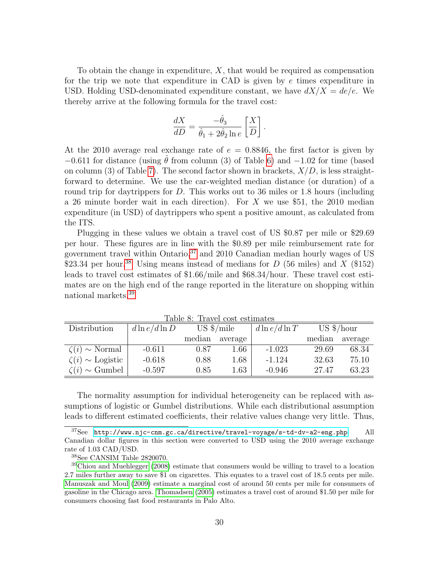To obtain the change in expenditure,  $X$ , that would be required as compensation for the trip we note that expenditure in CAD is given by e times expenditure in USD. Holding USD-denominated expenditure constant, we have  $dX/X = de/e$ . We thereby arrive at the following formula for the travel cost:

$$
\frac{dX}{dD} = \frac{-\hat{\theta}_3}{\hat{\theta}_1 + 2\hat{\theta}_2 \ln e} \left[ \frac{X}{D} \right].
$$

At the 2010 average real exchange rate of  $e = 0.8846$ , the first factor is given by  $-0.611$  for distance (using  $\theta$  from column (3) of Table 6) and  $-1.02$  for time (based on column (3) of Table 7). The second factor shown in brackets,  $X/D$ , is less straightforward to determine. We use the car-weighted median distance (or duration) of a round trip for daytrippers for  $D$ . This works out to 36 miles or 1.8 hours (including a 26 minute border wait in each direction). For X we use \$51, the 2010 median expenditure (in USD) of daytrippers who spent a positive amount, as calculated from the ITS.

Plugging in these values we obtain a travel cost of US \$0.87 per mile or \$29.69 per hour. These figures are in line with the \$0.89 per mile reimbursement rate for government travel within Ontario, $37$  and 2010 Canadian median hourly wages of US \$23.34 per hour.<sup>38</sup> Using means instead of medians for D (56 miles) and X (\$152) leads to travel cost estimates of \$1.66/mile and \$68.34/hour. These travel cost estimates are on the high end of the range reported in the literature on shopping within national markets.39

| Distribution                  | $d\ln e/d\ln D$ | $US \frac{\$}{\text{mile}}$ |         | $d\ln e/d\ln T$ | $US \frac{\$}{\prime}$ hour |         |
|-------------------------------|-----------------|-----------------------------|---------|-----------------|-----------------------------|---------|
|                               |                 | median                      | average |                 | median                      | average |
| $\zeta(i) \sim \text{Normal}$ | $-0.611$        | 0.87                        | 1.66    | $-1.023$        | 29.69                       | 68.34   |
| $\zeta(i) \sim$ Logistic      | $-0.618$        | 0.88                        | 1.68    | $-1.124$        | 32.63                       | 75.10   |
| $\zeta(i) \sim \text{Gumbel}$ | $-0.597$        | 0.85                        | 1.63    | $-0.946$        | 27.47                       | 63.23   |

Table 8: Travel cost estimates

The normality assumption for individual heterogeneity can be replaced with assumptions of logistic or Gumbel distributions. While each distributional assumption leads to different estimated coefficients, their relative values change very little. Thus,

<sup>37</sup>See <http://www.njc-cnm.gc.ca/directive/travel-voyage/s-td-dv-a2-eng.php>. All Canadian dollar figures in this section were converted to USD using the 2010 average exchange rate of 1.03 CAD/USD.

<sup>38</sup>See CANSIM Table 2820070.

<sup>39</sup>Chiou and Muehlegger (2008) estimate that consumers would be willing to travel to a location 2.7 miles further away to save \$1 on cigarettes. This equates to a travel cost of 18.5 cents per mile. Manuszak and Moul (2009) estimate a marginal cost of around 50 cents per mile for consumers of gasoline in the Chicago area. Thomadsen (2005) estimates a travel cost of around \$1.50 per mile for consumers choosing fast food restaurants in Palo Alto.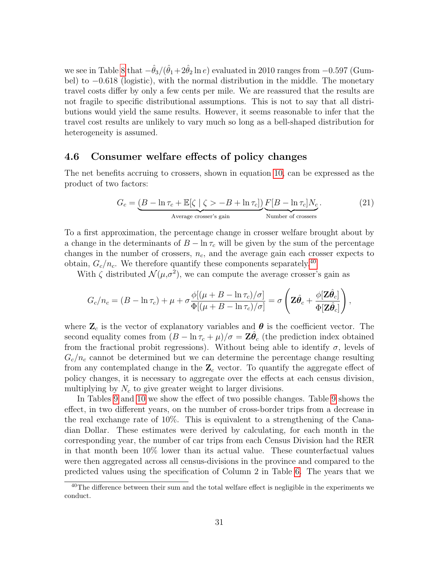we see in Table 8 that  $-\hat{\theta}_3/(\hat{\theta}_1+2\hat{\theta}_2\ln e)$  evaluated in 2010 ranges from  $-0.597$  (Gumbel) to −0.618 (logistic), with the normal distribution in the middle. The monetary travel costs differ by only a few cents per mile. We are reassured that the results are not fragile to specific distributional assumptions. This is not to say that all distributions would yield the same results. However, it seems reasonable to infer that the travel cost results are unlikely to vary much so long as a bell-shaped distribution for heterogeneity is assumed.

#### 4.6 Consumer welfare effects of policy changes

The net benefits accruing to crossers, shown in equation 10, can be expressed as the product of two factors:

$$
G_c = \underbrace{(B - \ln \tau_c + \mathbb{E}[\zeta \mid \zeta > -B + \ln \tau_c])}_{\text{Average crossover's gain}} \underbrace{F[B - \ln \tau_c] N_c}_{\text{Number of crosses}}. \tag{21}
$$

To a first approximation, the percentage change in crosser welfare brought about by a change in the determinants of  $B - \ln \tau_c$  will be given by the sum of the percentage changes in the number of crossers,  $n_c$ , and the average gain each crosser expects to obtain,  $G_c/n_c$ . We therefore quantify these components separately.<sup>40</sup>

With  $\zeta$  distributed  $\mathcal{N}(\mu, \sigma^2)$ , we can compute the average crosser's gain as

$$
G_c/n_c = (B - \ln \tau_c) + \mu + \sigma \frac{\phi[(\mu + B - \ln \tau_c)/\sigma]}{\Phi[(\mu + B - \ln \tau_c)/\sigma]} = \sigma \left( \mathbf{\Sigma} \hat{\boldsymbol{\theta}}_c + \frac{\phi[\mathbf{\Sigma} \hat{\boldsymbol{\theta}}_c]}{\Phi[\mathbf{\Sigma} \hat{\boldsymbol{\theta}}_c]} \right),
$$

where  $\mathbf{Z}_c$  is the vector of explanatory variables and  $\boldsymbol{\theta}$  is the coefficient vector. The second equality comes from  $(B - \ln \tau_c + \mu)/\sigma = \mathbf{Z}\hat{\theta}_c$  (the prediction index obtained from the fractional probit regressions). Without being able to identify  $\sigma$ , levels of  $G_c/n_c$  cannot be determined but we can determine the percentage change resulting from any contemplated change in the  $\mathbb{Z}_c$  vector. To quantify the aggregate effect of policy changes, it is necessary to aggregate over the effects at each census division, multiplying by  $N_c$  to give greater weight to larger divisions.

In Tables 9 and 10 we show the effect of two possible changes. Table 9 shows the effect, in two different years, on the number of cross-border trips from a decrease in the real exchange rate of 10%. This is equivalent to a strengthening of the Canadian Dollar. These estimates were derived by calculating, for each month in the corresponding year, the number of car trips from each Census Division had the RER in that month been 10% lower than its actual value. These counterfactual values were then aggregated across all census-divisions in the province and compared to the predicted values using the specification of Column 2 in Table 6. The years that we

 $40$ The difference between their sum and the total welfare effect is negligible in the experiments we conduct.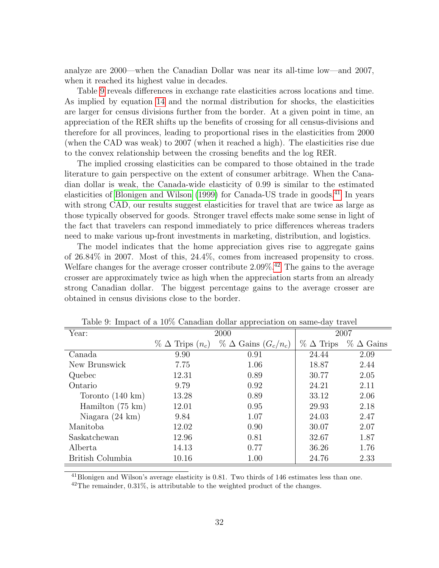analyze are 2000—when the Canadian Dollar was near its all-time low—and 2007, when it reached its highest value in decades.

Table 9 reveals differences in exchange rate elasticities across locations and time. As implied by equation 14 and the normal distribution for shocks, the elasticities are larger for census divisions further from the border. At a given point in time, an appreciation of the RER shifts up the benefits of crossing for all census-divisions and therefore for all provinces, leading to proportional rises in the elasticities from 2000 (when the CAD was weak) to 2007 (when it reached a high). The elasticities rise due to the convex relationship between the crossing benefits and the log RER.

The implied crossing elasticities can be compared to those obtained in the trade literature to gain perspective on the extent of consumer arbitrage. When the Canadian dollar is weak, the Canada-wide elasticity of 0.99 is similar to the estimated elasticities of Blonigen and Wilson (1999) for Canada-US trade in goods.<sup>41</sup> In years with strong CAD, our results suggest elasticities for travel that are twice as large as those typically observed for goods. Stronger travel effects make some sense in light of the fact that travelers can respond immediately to price differences whereas traders need to make various up-front investments in marketing, distribution, and logistics.

The model indicates that the home appreciation gives rise to aggregate gains of 26.84% in 2007. Most of this, 24.4%, comes from increased propensity to cross. Welfare changes for the average crosser contribute 2.09%.42 The gains to the average crosser are approximately twice as high when the appreciation starts from an already strong Canadian dollar. The biggest percentage gains to the average crosser are obtained in census divisions close to the border.

|                            |                             | - -                             |                     |                     |
|----------------------------|-----------------------------|---------------------------------|---------------------|---------------------|
| Year:                      |                             | 2000                            | 2007                |                     |
|                            | $\%$ $\Delta$ Trips $(n_c)$ | $\%$ $\Delta$ Gains $(G_c/n_c)$ | $\%$ $\Delta$ Trips | $\%$ $\Delta$ Gains |
| Canada                     | 9.90                        | 0.91                            | 24.44               | 2.09                |
| New Brunswick              | 7.75                        | 1.06                            | 18.87               | 2.44                |
| Quebec                     | 12.31                       | 0.89                            | 30.77               | 2.05                |
| Ontario                    | 9.79                        | 0.92                            | 24.21               | 2.11                |
| Toronto $(140 \text{ km})$ | 13.28                       | 0.89                            | 33.12               | 2.06                |
| Hamilton $(75 \text{ km})$ | 12.01                       | 0.95                            | 29.93               | 2.18                |
| Niagara $(24 \text{ km})$  | 9.84                        | 1.07                            | 24.03               | 2.47                |
| Manitoba                   | 12.02                       | 0.90                            | 30.07               | 2.07                |
| Saskatchewan               | 12.96                       | 0.81                            | 32.67               | 1.87                |
| Alberta                    | 14.13                       | 0.77                            | 36.26               | 1.76                |
| British Columbia           | 10.16                       | 1.00                            | 24.76               | 2.33                |

Table 9: Impact of a 10% Canadian dollar appreciation on same-day travel

 $^{41}$ Blonigen and Wilson's average elasticity is 0.81. Two thirds of 146 estimates less than one.

 $42$ The remainder, 0.31%, is attributable to the weighted product of the changes.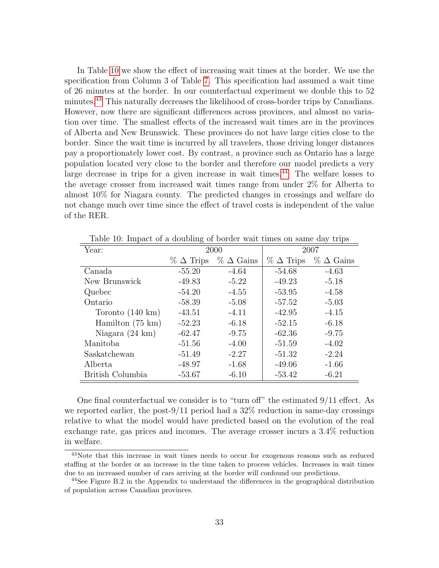In Table 10 we show the effect of increasing wait times at the border. We use the specification from Column 3 of Table 7. This specification had assumed a wait time of 26 minutes at the border. In our counterfactual experiment we double this to 52 minutes.43 This naturally decreases the likelihood of cross-border trips by Canadians. However, now there are significant differences across provinces, and almost no variation over time. The smallest effects of the increased wait times are in the provinces of Alberta and New Brunswick. These provinces do not have large cities close to the border. Since the wait time is incurred by all travelers, those driving longer distances pay a proportionately lower cost. By contrast, a province such as Ontario has a large population located very close to the border and therefore our model predicts a very large decrease in trips for a given increase in wait times.<sup>44</sup> The welfare losses to the average crosser from increased wait times range from under 2% for Alberta to almost 10% for Niagara county. The predicted changes in crossings and welfare do not change much over time since the effect of travel costs is independent of the value of the RER.

| $\frac{1}{200}$ . $\frac{1}{200}$<br>$\frac{1}{2}$ $\frac{1}{2}$ $\frac{1}{2}$ $\frac{1}{2}$ $\frac{1}{2}$ $\frac{1}{2}$ $\frac{1}{2}$ $\frac{1}{2}$ $\frac{1}{2}$ $\frac{1}{2}$ $\frac{1}{2}$ $\frac{1}{2}$ $\frac{1}{2}$ $\frac{1}{2}$ $\frac{1}{2}$ $\frac{1}{2}$ $\frac{1}{2}$ $\frac{1}{2}$ $\frac{1}{2}$ $\frac{1}{2}$ $\frac{1}{2}$ $\frac{1}{2}$ |                     |                     |                     |                     |  |  |  |  |  |
|----------------------------------------------------------------------------------------------------------------------------------------------------------------------------------------------------------------------------------------------------------------------------------------------------------------------------------------------------------|---------------------|---------------------|---------------------|---------------------|--|--|--|--|--|
| Year:                                                                                                                                                                                                                                                                                                                                                    |                     | 2000                | 2007                |                     |  |  |  |  |  |
|                                                                                                                                                                                                                                                                                                                                                          | $\%$ $\Delta$ Trips | $\%$ $\Delta$ Gains | $\%$ $\Delta$ Trips | $\%$ $\Delta$ Gains |  |  |  |  |  |
| Canada                                                                                                                                                                                                                                                                                                                                                   | $-55.20$            | $-4.64$             | $-54.68$            | $-4.63$             |  |  |  |  |  |
| New Brunswick                                                                                                                                                                                                                                                                                                                                            | $-49.83$            | $-5.22$             | $-49.23$            | $-5.18$             |  |  |  |  |  |
| Quebec                                                                                                                                                                                                                                                                                                                                                   | $-54.20$            | $-4.55$             | $-53.95$            | $-4.58$             |  |  |  |  |  |
| Ontario                                                                                                                                                                                                                                                                                                                                                  | $-58.39$            | $-5.08$             | $-57.52$            | $-5.03$             |  |  |  |  |  |
| Toronto $(140 \text{ km})$                                                                                                                                                                                                                                                                                                                               | $-43.51$            | $-4.11$             | $-42.95$            | $-4.15$             |  |  |  |  |  |
| Hamilton $(75 \text{ km})$                                                                                                                                                                                                                                                                                                                               | $-52.23$            | $-6.18$             | $-52.15$            | $-6.18$             |  |  |  |  |  |
| Niagara $(24 \text{ km})$                                                                                                                                                                                                                                                                                                                                | $-62.47$            | $-9.75$             | $-62.36$            | $-9.75$             |  |  |  |  |  |
| Manitoba                                                                                                                                                                                                                                                                                                                                                 | $-51.56$            | $-4.00$             | $-51.59$            | $-4.02$             |  |  |  |  |  |
| Saskatchewan                                                                                                                                                                                                                                                                                                                                             | $-51.49$            | $-2.27$             | $-51.32$            | $-2.24$             |  |  |  |  |  |
| Alberta                                                                                                                                                                                                                                                                                                                                                  | $-48.97$            | $-1.68$             | $-49.06$            | $-1.66$             |  |  |  |  |  |
| British Columbia                                                                                                                                                                                                                                                                                                                                         | $-53.67$            | $-6.10$             | $-53.42$            | $-6.21$             |  |  |  |  |  |

Table 10: Impact of a doubling of border wait times on same day trips

One final counterfactual we consider is to "turn off" the estimated 9/11 effect. As we reported earlier, the post-9/11 period had a 32% reduction in same-day crossings relative to what the model would have predicted based on the evolution of the real exchange rate, gas prices and incomes. The average crosser incurs a 3.4% reduction in welfare.

<sup>43</sup>Note that this increase in wait times needs to occur for exogenous reasons such as reduced staffing at the border or an increase in the time taken to process vehicles. Increases in wait times due to an increased number of cars arriving at the border will confound our predictions.

<sup>&</sup>lt;sup>44</sup>See Figure B.2 in the Appendix to understand the differences in the geographical distribution of population across Canadian provinces.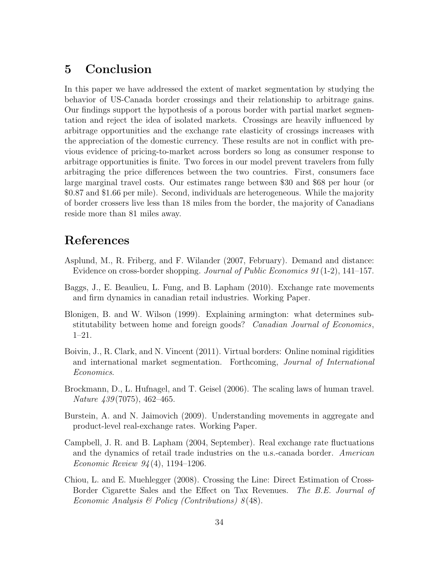## 5 Conclusion

In this paper we have addressed the extent of market segmentation by studying the behavior of US-Canada border crossings and their relationship to arbitrage gains. Our findings support the hypothesis of a porous border with partial market segmentation and reject the idea of isolated markets. Crossings are heavily influenced by arbitrage opportunities and the exchange rate elasticity of crossings increases with the appreciation of the domestic currency. These results are not in conflict with previous evidence of pricing-to-market across borders so long as consumer response to arbitrage opportunities is finite. Two forces in our model prevent travelers from fully arbitraging the price differences between the two countries. First, consumers face large marginal travel costs. Our estimates range between \$30 and \$68 per hour (or \$0.87 and \$1.66 per mile). Second, individuals are heterogeneous. While the majority of border crossers live less than 18 miles from the border, the majority of Canadians reside more than 81 miles away.

## References

- Asplund, M., R. Friberg, and F. Wilander (2007, February). Demand and distance: Evidence on cross-border shopping. Journal of Public Economics 91 (1-2), 141–157.
- Baggs, J., E. Beaulieu, L. Fung, and B. Lapham (2010). Exchange rate movements and firm dynamics in canadian retail industries. Working Paper.
- Blonigen, B. and W. Wilson (1999). Explaining armington: what determines substitutability between home and foreign goods? Canadian Journal of Economics, 1–21.
- Boivin, J., R. Clark, and N. Vincent (2011). Virtual borders: Online nominal rigidities and international market segmentation. Forthcoming, Journal of International Economics.
- Brockmann, D., L. Hufnagel, and T. Geisel (2006). The scaling laws of human travel. Nature 439 (7075), 462–465.
- Burstein, A. and N. Jaimovich (2009). Understanding movements in aggregate and product-level real-exchange rates. Working Paper.
- Campbell, J. R. and B. Lapham (2004, September). Real exchange rate fluctuations and the dynamics of retail trade industries on the u.s.-canada border. American Economic Review 94 (4), 1194–1206.
- Chiou, L. and E. Muehlegger (2008). Crossing the Line: Direct Estimation of Cross-Border Cigarette Sales and the Effect on Tax Revenues. The B.E. Journal of Economic Analysis & Policy (Contributions)  $8(48)$ .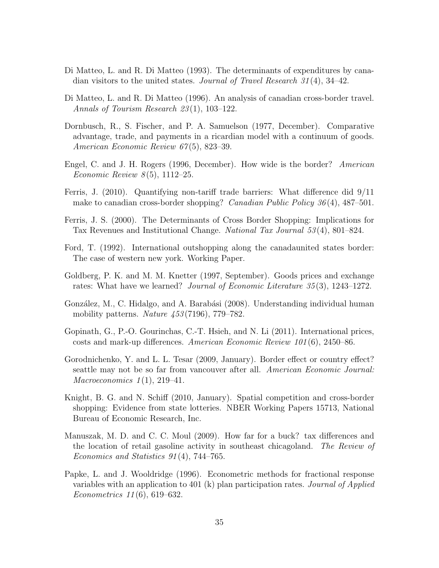- Di Matteo, L. and R. Di Matteo (1993). The determinants of expenditures by canadian visitors to the united states. *Journal of Travel Research*  $31(4)$ ,  $34-42$ .
- Di Matteo, L. and R. Di Matteo (1996). An analysis of canadian cross-border travel. Annals of Tourism Research 23 (1), 103–122.
- Dornbusch, R., S. Fischer, and P. A. Samuelson (1977, December). Comparative advantage, trade, and payments in a ricardian model with a continuum of goods. American Economic Review 67(5), 823–39.
- Engel, C. and J. H. Rogers (1996, December). How wide is the border? American *Economic Review 8*(5), 1112–25.
- Ferris, J. (2010). Quantifying non-tariff trade barriers: What difference did 9/11 make to canadian cross-border shopping? *Canadian Public Policy 36* (4), 487–501.
- Ferris, J. S. (2000). The Determinants of Cross Border Shopping: Implications for Tax Revenues and Institutional Change. National Tax Journal 53 (4), 801–824.
- Ford, T. (1992). International outshopping along the canadaunited states border: The case of western new york. Working Paper.
- Goldberg, P. K. and M. M. Knetter (1997, September). Goods prices and exchange rates: What have we learned? Journal of Economic Literature 35 (3), 1243–1272.
- González, M., C. Hidalgo, and A. Barabási (2008). Understanding individual human mobility patterns. Nature 453 (7196), 779–782.
- Gopinath, G., P.-O. Gourinchas, C.-T. Hsieh, and N. Li (2011). International prices, costs and mark-up differences. American Economic Review 101 (6), 2450–86.
- Gorodnichenko, Y. and L. L. Tesar (2009, January). Border effect or country effect? seattle may not be so far from vancouver after all. American Economic Journal: Macroeconomics  $1(1), 219-41.$
- Knight, B. G. and N. Schiff (2010, January). Spatial competition and cross-border shopping: Evidence from state lotteries. NBER Working Papers 15713, National Bureau of Economic Research, Inc.
- Manuszak, M. D. and C. C. Moul (2009). How far for a buck? tax differences and the location of retail gasoline activity in southeast chicagoland. The Review of Economics and Statistics 91 (4), 744–765.
- Papke, L. and J. Wooldridge (1996). Econometric methods for fractional response variables with an application to 401 (k) plan participation rates. Journal of Applied Econometrics 11 (6), 619–632.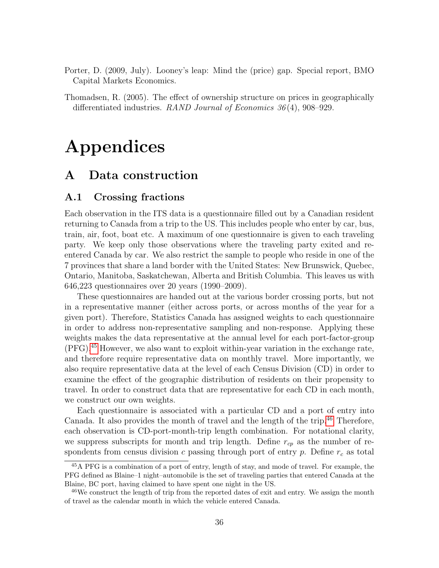- Porter, D. (2009, July). Looney's leap: Mind the (price) gap. Special report, BMO Capital Markets Economics.
- Thomadsen, R. (2005). The effect of ownership structure on prices in geographically differentiated industries. RAND Journal of Economics 36 (4), 908–929.

# Appendices

## A Data construction

#### A.1 Crossing fractions

Each observation in the ITS data is a questionnaire filled out by a Canadian resident returning to Canada from a trip to the US. This includes people who enter by car, bus, train, air, foot, boat etc. A maximum of one questionnaire is given to each traveling party. We keep only those observations where the traveling party exited and reentered Canada by car. We also restrict the sample to people who reside in one of the 7 provinces that share a land border with the United States: New Brunswick, Quebec, Ontario, Manitoba, Saskatchewan, Alberta and British Columbia. This leaves us with 646,223 questionnaires over 20 years (1990–2009).

These questionnaires are handed out at the various border crossing ports, but not in a representative manner (either across ports, or across months of the year for a given port). Therefore, Statistics Canada has assigned weights to each questionnaire in order to address non-representative sampling and non-response. Applying these weights makes the data representative at the annual level for each port-factor-group (PFG).45 However, we also want to exploit within-year variation in the exchange rate, and therefore require representative data on monthly travel. More importantly, we also require representative data at the level of each Census Division (CD) in order to examine the effect of the geographic distribution of residents on their propensity to travel. In order to construct data that are representative for each CD in each month, we construct our own weights.

Each questionnaire is associated with a particular CD and a port of entry into Canada. It also provides the month of travel and the length of the trip.<sup>46</sup> Therefore, each observation is CD-port-month-trip length combination. For notational clarity, we suppress subscripts for month and trip length. Define  $r_{cp}$  as the number of respondents from census division c passing through port of entry  $p$ . Define  $r_c$  as total

<sup>45</sup>A PFG is a combination of a port of entry, length of stay, and mode of travel. For example, the PFG defined as Blaine–1 night–automobile is the set of traveling parties that entered Canada at the Blaine, BC port, having claimed to have spent one night in the US.

<sup>&</sup>lt;sup>46</sup>We construct the length of trip from the reported dates of exit and entry. We assign the month of travel as the calendar month in which the vehicle entered Canada.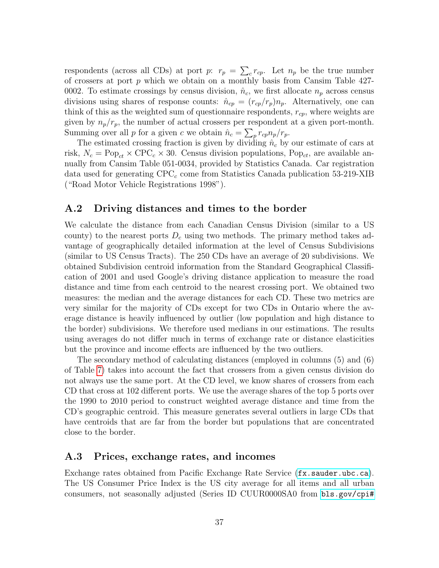respondents (across all CDs) at port  $p: r_p = \sum_c r_{cp}$ . Let  $n_p$  be the true number of crossers at port p which we obtain on a monthly basis from Cansim Table 427- 0002. To estimate crossings by census division,  $\hat{n}_c$ , we first allocate  $n_p$  across census divisions using shares of response counts:  $\hat{n}_{cp} = (r_{cp}/r_p)n_p$ . Alternatively, one can think of this as the weighted sum of questionnaire respondents,  $r_{cp}$ , where weights are given by  $n_p/r_p$ , the number of actual crossers per respondent at a given port-month. Summing over all p for a given c we obtain  $\hat{n}_c = \sum_p r_{cp} n_p / r_p$ .

The estimated crossing fraction is given by dividing  $\hat{n}_c$  by our estimate of cars at risk,  $N_c = \text{Pop}_{ct} \times \text{CPC}_c \times 30$ . Census division populations,  $\text{Pop}_{ct}$ , are available annually from Cansim Table 051-0034, provided by Statistics Canada. Car registration data used for generating  $\text{CPC}_c$  come from Statistics Canada publication 53-219-XIB ("Road Motor Vehicle Registrations 1998").

#### A.2 Driving distances and times to the border

We calculate the distance from each Canadian Census Division (similar to a US county) to the nearest ports  $D_c$  using two methods. The primary method takes advantage of geographically detailed information at the level of Census Subdivisions (similar to US Census Tracts). The 250 CDs have an average of 20 subdivisions. We obtained Subdivision centroid information from the Standard Geographical Classification of 2001 and used Google's driving distance application to measure the road distance and time from each centroid to the nearest crossing port. We obtained two measures: the median and the average distances for each CD. These two metrics are very similar for the majority of CDs except for two CDs in Ontario where the average distance is heavily influenced by outlier (low population and high distance to the border) subdivisions. We therefore used medians in our estimations. The results using averages do not differ much in terms of exchange rate or distance elasticities but the province and income effects are influenced by the two outliers.

The secondary method of calculating distances (employed in columns (5) and (6) of Table 7) takes into account the fact that crossers from a given census division do not always use the same port. At the CD level, we know shares of crossers from each CD that cross at 102 different ports. We use the average shares of the top 5 ports over the 1990 to 2010 period to construct weighted average distance and time from the CD's geographic centroid. This measure generates several outliers in large CDs that have centroids that are far from the border but populations that are concentrated close to the border.

#### A.3 Prices, exchange rates, and incomes

Exchange rates obtained from Pacific Exchange Rate Service (<fx.sauder.ubc.ca>). The US Consumer Price Index is the US city average for all items and all urban consumers, not seasonally adjusted (Series ID CUUR0000SA0 from [bls.gov/cpi#](bls.gov/cpi#data)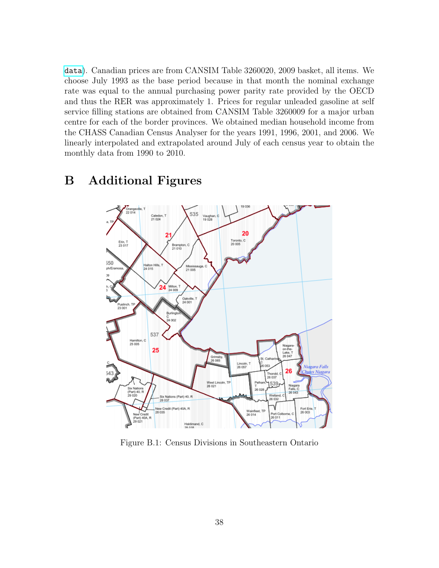[data](bls.gov/cpi#data)). Canadian prices are from CANSIM Table 3260020, 2009 basket, all items. We choose July 1993 as the base period because in that month the nominal exchange rate was equal to the annual purchasing power parity rate provided by the OECD and thus the RER was approximately 1. Prices for regular unleaded gasoline at self service filling stations are obtained from CANSIM Table 3260009 for a major urban centre for each of the border provinces. We obtained median household income from the CHASS Canadian Census Analyser for the years 1991, 1996, 2001, and 2006. We linearly interpolated and extrapolated around July of each census year to obtain the monthly data from 1990 to 2010.

## B Additional Figures



Figure B.1: Census Divisions in Southeastern Ontario